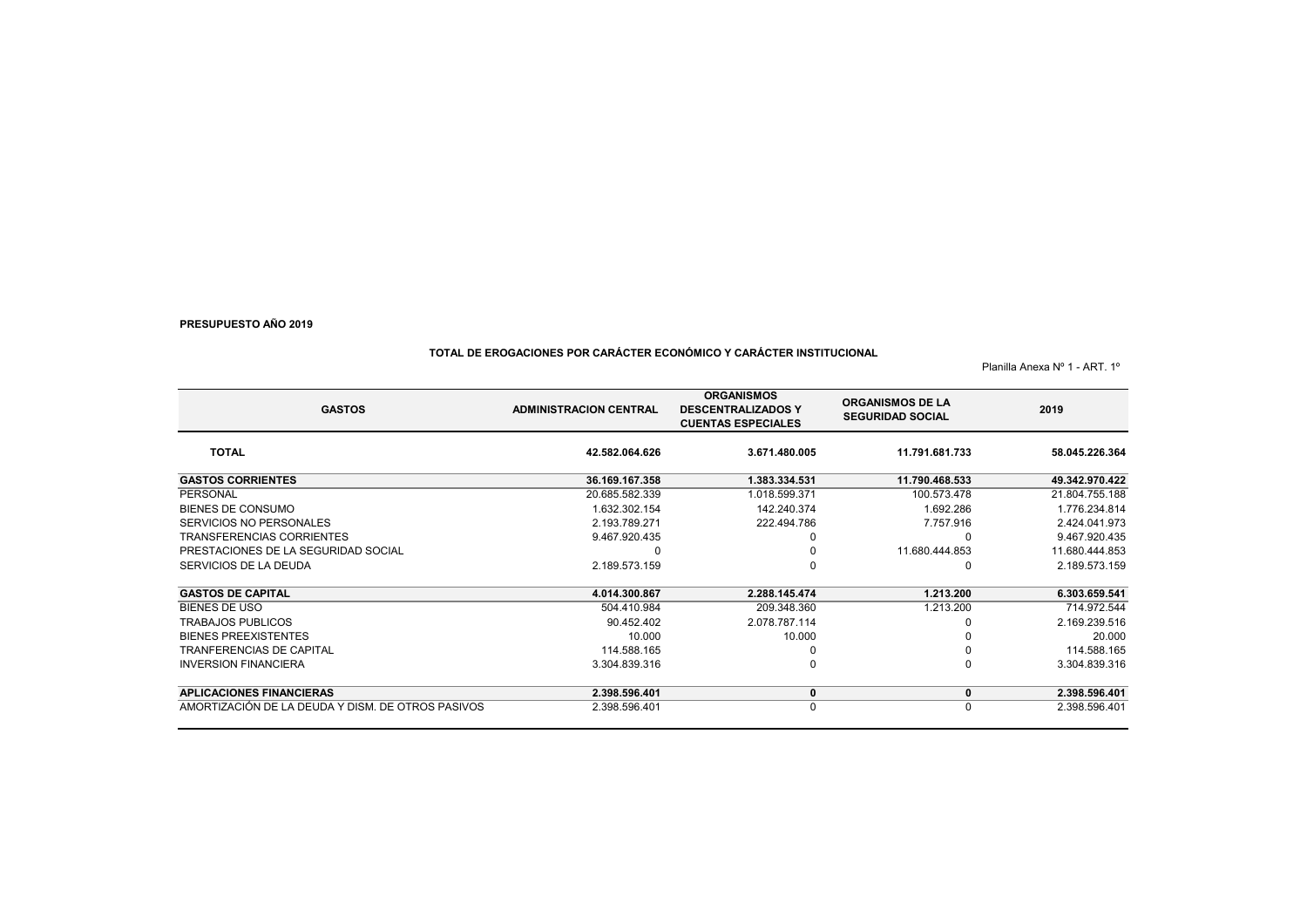# **TOTAL DE EROGACIONES POR CARÁCTER ECONÓMICO Y CARÁCTER INSTITUCIONAL**

Planilla Anexa Nº 1 - ART. 1º

| <b>GASTOS</b>                                     | <b>ADMINISTRACION CENTRAL</b> | <b>ORGANISMOS</b><br><b>DESCENTRALIZADOS Y</b><br><b>CUENTAS ESPECIALES</b> | <b>ORGANISMOS DE LA</b><br><b>SEGURIDAD SOCIAL</b> | 2019           |
|---------------------------------------------------|-------------------------------|-----------------------------------------------------------------------------|----------------------------------------------------|----------------|
| <b>TOTAL</b>                                      | 42.582.064.626                | 3.671.480.005                                                               | 11.791.681.733                                     | 58.045.226.364 |
| <b>GASTOS CORRIENTES</b>                          | 36.169.167.358                | 1.383.334.531                                                               | 11.790.468.533                                     | 49.342.970.422 |
| PERSONAL                                          | 20.685.582.339                | 1.018.599.371                                                               | 100.573.478                                        | 21.804.755.188 |
| <b>BIENES DE CONSUMO</b>                          | 1.632.302.154                 | 142.240.374                                                                 | 1.692.286                                          | 1.776.234.814  |
| SERVICIOS NO PERSONALES                           | 2.193.789.271                 | 222.494.786                                                                 | 7.757.916                                          | 2.424.041.973  |
| <b>TRANSFERENCIAS CORRIENTES</b>                  | 9.467.920.435                 |                                                                             | O                                                  | 9.467.920.435  |
| PRESTACIONES DE LA SEGURIDAD SOCIAL               |                               |                                                                             | 11.680.444.853                                     | 11.680.444.853 |
| SERVICIOS DE LA DEUDA                             | 2.189.573.159                 |                                                                             | <sup>0</sup>                                       | 2.189.573.159  |
| <b>GASTOS DE CAPITAL</b>                          | 4.014.300.867                 | 2.288.145.474                                                               | 1.213.200                                          | 6.303.659.541  |
| <b>BIENES DE USO</b>                              | 504.410.984                   | 209.348.360                                                                 | 1.213.200                                          | 714.972.544    |
| <b>TRABAJOS PUBLICOS</b>                          | 90.452.402                    | 2.078.787.114                                                               |                                                    | 2.169.239.516  |
| <b>BIENES PREEXISTENTES</b>                       | 10.000                        | 10.000                                                                      |                                                    | 20.000         |
| <b>TRANFERENCIAS DE CAPITAL</b>                   | 114.588.165                   |                                                                             | 0                                                  | 114.588.165    |
| <b>INVERSION FINANCIERA</b>                       | 3.304.839.316                 |                                                                             | $\Omega$                                           | 3.304.839.316  |
| <b>APLICACIONES FINANCIERAS</b>                   | 2.398.596.401                 | 0                                                                           | 0                                                  | 2.398.596.401  |
| AMORTIZACIÓN DE LA DEUDA Y DISM. DE OTROS PASIVOS | 2.398.596.401                 | 0                                                                           | 0                                                  | 2.398.596.401  |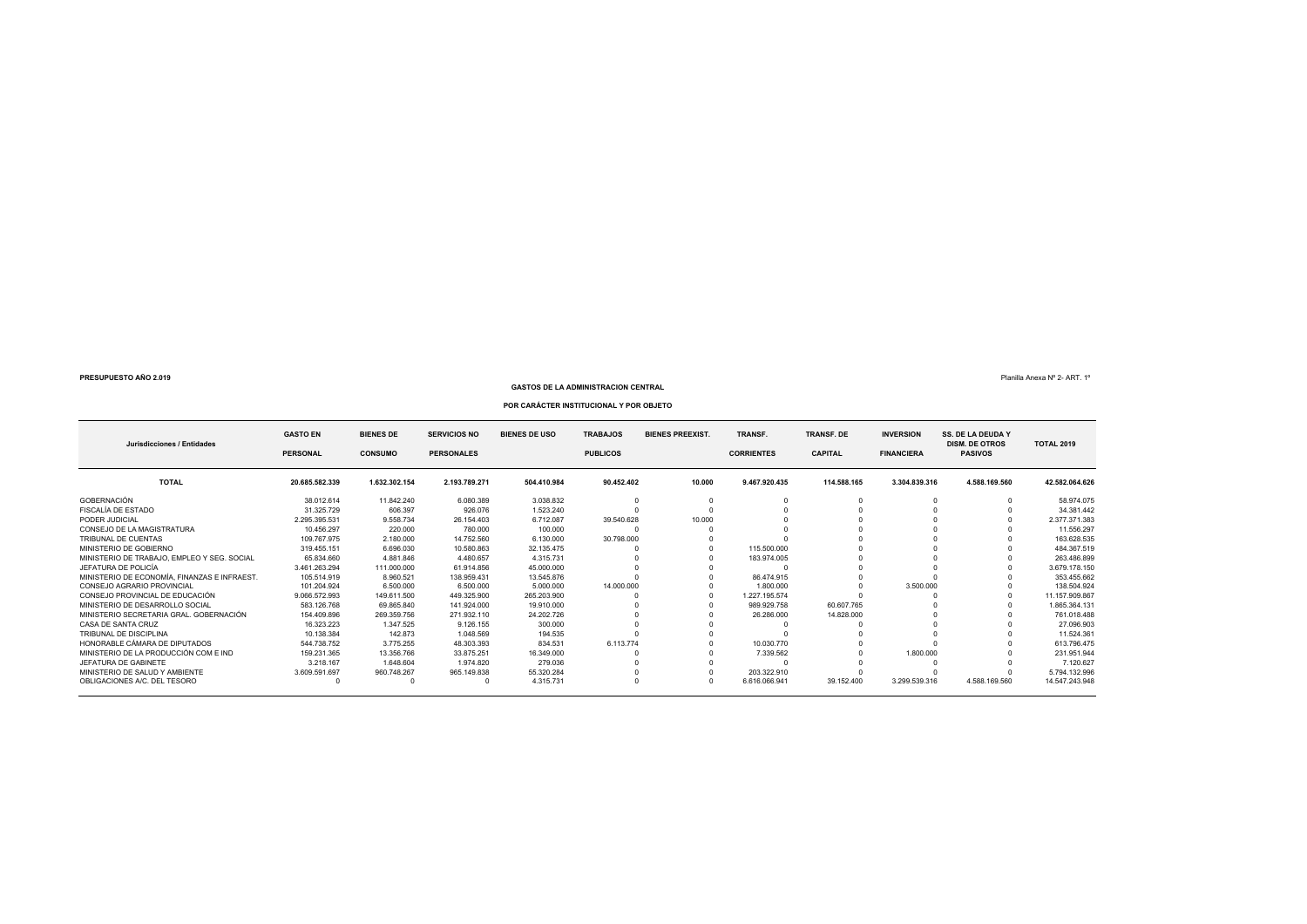# **GASTOS DE LA ADMINISTRACION CENTRAL**

# **POR CARÁCTER INSTITUCIONAL Y POR OBJETO**

| Jurisdicciones / Entidades                   | <b>GASTO EN</b><br><b>PERSONAL</b> | <b>BIENES DE</b><br><b>CONSUMO</b> | <b>SERVICIOS NO</b><br><b>PERSONALES</b> | <b>BIENES DE USO</b> | <b>TRABAJOS</b><br><b>BIENES PREEXIST.</b><br><b>PUBLICOS</b> |        | TRANSF.<br><b>CORRIENTES</b> | <b>TRANSF. DE</b><br><b>CAPITAL</b> | <b>INVERSION</b><br><b>FINANCIERA</b> | <b>SS. DE LA DEUDA Y</b><br><b>DISM. DE OTROS</b><br><b>PASIVOS</b> | <b>TOTAL 2019</b> |
|----------------------------------------------|------------------------------------|------------------------------------|------------------------------------------|----------------------|---------------------------------------------------------------|--------|------------------------------|-------------------------------------|---------------------------------------|---------------------------------------------------------------------|-------------------|
| <b>TOTAL</b>                                 | 20.685.582.339                     | 1.632.302.154                      | 2.193.789.271                            | 504.410.984          | 90.452.402                                                    | 10.000 | 9.467.920.435                | 114.588.165                         | 3.304.839.316                         | 4.588.169.560                                                       | 42.582.064.626    |
| <b>GOBERNACIÓN</b>                           | 38.012.614                         | 11.842.240                         | 6.080.389                                | 3.038.832            |                                                               |        |                              |                                     |                                       |                                                                     | 58.974.075        |
| FISCALÍA DE ESTADO                           | 31.325.729                         | 606.397                            | 926.076                                  | 1.523.240            |                                                               |        |                              |                                     |                                       |                                                                     | 34.381.442        |
| PODER JUDICIAL                               | 2.295.395.531                      | 9.558.734                          | 26.154.403                               | 6.712.087            | 39.540.628                                                    | 10.000 |                              |                                     |                                       |                                                                     | 2.377.371.383     |
| CONSEJO DE LA MAGISTRATURA                   | 10.456.297                         | 220,000                            | 780,000                                  | 100,000              |                                                               |        |                              |                                     |                                       |                                                                     | 11.556.297        |
| TRIBUNAL DE CUENTAS                          | 109.767.975                        | 2.180.000                          | 14.752.560                               | 6.130.000            | 30.798.000                                                    |        |                              |                                     |                                       |                                                                     | 163.628.535       |
| MINISTERIO DE GOBIERNO                       | 319.455.151                        | 6.696.030                          | 10.580.863                               | 32.135.475           |                                                               |        | 115,500,000                  |                                     |                                       |                                                                     | 484.367.519       |
| MINISTERIO DE TRABAJO. EMPLEO Y SEG. SOCIAL  | 65.834.660                         | 4.881.846                          | 4.480.657                                | 4.315.731            |                                                               |        | 183.974.005                  |                                     |                                       |                                                                     | 263.486.899       |
| JEFATURA DE POLICÍA                          | 3.461.263.294                      | 111.000.000                        | 61.914.856                               | 45.000.000           |                                                               |        |                              |                                     |                                       |                                                                     | 3.679.178.150     |
| MINISTERIO DE ECONOMÍA. FINANZAS E INFRAEST. | 105.514.919                        | 8.960.521                          | 138.959.431                              | 13.545.876           |                                                               |        | 86.474.915                   |                                     |                                       |                                                                     | 353.455.662       |
| CONSEJO AGRARIO PROVINCIAL                   | 101.204.924                        | 6,500,000                          | 6,500,000                                | 5.000.000            | 14.000.000                                                    |        | 1.800.000                    |                                     | 3.500.000                             |                                                                     | 138.504.924       |
| CONSEJO PROVINCIAL DE EDUCACIÓN              | 9.066.572.993                      | 149.611.500                        | 449.325.900                              | 265.203.900          |                                                               |        | 1.227.195.574                |                                     |                                       |                                                                     | 11.157.909.867    |
| MINISTERIO DE DESARROLLO SOCIAL              | 583.126.768                        | 69.865.840                         | 141.924.000                              | 19.910.000           |                                                               |        | 989.929.758                  | 60.607.765                          |                                       |                                                                     | 1.865.364.131     |
| MINISTERIO SECRETARIA GRAL, GOBERNACIÓN      | 154.409.896                        | 269.359.756                        | 271.932.110                              | 24.202.726           |                                                               |        | 26,286,000                   | 14.828.000                          |                                       |                                                                     | 761.018.488       |
| CASA DE SANTA CRUZ                           | 16.323.223                         | 1.347.525                          | 9.126.155                                | 300,000              |                                                               |        |                              |                                     |                                       |                                                                     | 27.096.903        |
| TRIBUNAL DE DISCIPI INA                      | 10.138.384                         | 142.873                            | 1.048.569                                | 194.535              |                                                               |        |                              |                                     |                                       |                                                                     | 11.524.361        |
| HONORABLE CÁMARA DE DIPUTADOS                | 544.738.752                        | 3.775.255                          | 48.303.393                               | 834.531              | 6.113.774                                                     |        | 10.030.770                   |                                     |                                       |                                                                     | 613.796.475       |
| MINISTERIO DE LA PRODUCCIÓN COM E IND        | 159.231.365                        | 13.356.766                         | 33.875.251                               | 16.349.000           |                                                               |        | 7.339.562                    |                                     | 1.800.000                             |                                                                     | 231.951.944       |
| JEFATURA DE GABINETE                         | 3.218.167                          | 1.648.604                          | 1.974.820                                | 279.036              |                                                               |        |                              |                                     |                                       |                                                                     | 7.120.627         |
| MINISTERIO DE SALUD Y AMBIENTE               | 3.609.591.697                      | 960.748.267                        | 965.149.838                              | 55.320.284           |                                                               |        | 203.322.910                  |                                     |                                       |                                                                     | 5.794.132.996     |
| OBLIGACIONES A/C. DEL TESORO                 |                                    |                                    |                                          | 4.315.731            |                                                               |        | 6.616.066.941                | 39.152.400                          | 3.299.539.316                         | 4.588.169.560                                                       | 14.547.243.948    |

 $\mathsf{P}$ lanilla Anexa Ν° 2- ART. 1°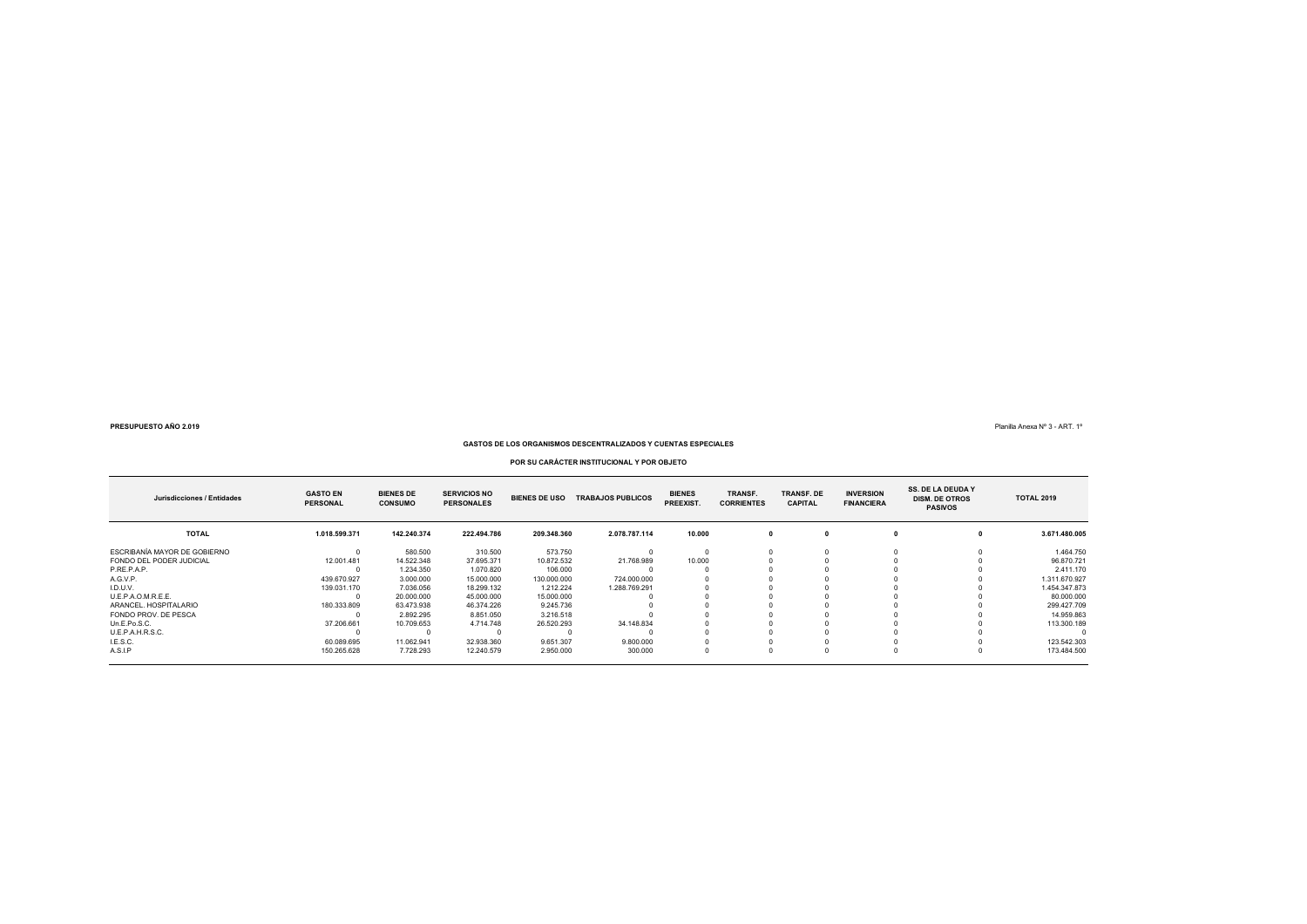Planilla Anexa Nº 3 - ART. 1º

### **GASTOS DE LOS ORGANISMOS DESCENTRALIZADOS Y CUENTAS ESPECIALES**

### **POR SU CARÁCTER INSTITUCIONAL Y POR OBJETO**

| Jurisdicciones / Entidades   | <b>GASTO EN</b><br><b>PERSONAL</b> | <b>BIENES DE</b><br><b>CONSUMO</b> | <b>SERVICIOS NO</b><br><b>PERSONALES</b> | <b>BIENES DE USO</b> | <b>TRABAJOS PUBLICOS</b> | <b>BIENES</b><br>PREEXIST. | TRANSF.<br><b>CORRIENTES</b> | <b>TRANSF, DE</b><br><b>CAPITAL</b> | <b>INVERSION</b><br><b>FINANCIERA</b> | <b>SS. DE LA DEUDA Y</b><br><b>DISM. DE OTROS</b><br><b>PASIVOS</b> | <b>TOTAL 2019</b> |
|------------------------------|------------------------------------|------------------------------------|------------------------------------------|----------------------|--------------------------|----------------------------|------------------------------|-------------------------------------|---------------------------------------|---------------------------------------------------------------------|-------------------|
| <b>TOTAL</b>                 | 1.018.599.371                      | 142.240.374                        | 222.494.786                              | 209.348.360          | 2.078.787.114            | 10.000                     |                              |                                     |                                       |                                                                     | 3.671.480.005     |
| ESCRIBANÍA MAYOR DE GOBIERNO |                                    | 580.500                            | 310,500                                  | 573.750              |                          |                            |                              |                                     |                                       |                                                                     | 1.464.750         |
| FONDO DEL PODER JUDICIAL     | 12.001.481                         | 14.522.348                         | 37.695.371                               | 10.872.532           | 21,768,989               | 10,000                     |                              |                                     |                                       |                                                                     | 96.870.721        |
| P.RE.P.A.P.                  |                                    | 1.234.350                          | 1.070.820                                | 106,000              |                          |                            |                              |                                     |                                       |                                                                     | 2.411.170         |
| A.G.V.P.                     | 439.670.927                        | 3.000.000                          | 15,000,000                               | 130.000.000          | 724.000.000              |                            |                              |                                     |                                       |                                                                     | 1.311.670.927     |
| I.D.U.V.                     | 139.031.170                        | 7.036.056                          | 18.299.132                               | 1.212.224            | 1.288.769.291            |                            |                              |                                     |                                       |                                                                     | 1.454.347.873     |
| U.E.P.A.O.M.R.E.E.           |                                    | 20.000.000                         | 45.000.000                               | 15.000.000           |                          |                            |                              |                                     |                                       |                                                                     | 80.000.000        |
| ARANCEL, HOSPITALARIO        | 180.333.809                        | 63.473.938                         | 46.374.226                               | 9.245.736            |                          |                            |                              |                                     |                                       |                                                                     | 299.427.709       |
| FONDO PROV. DE PESCA         |                                    | 2.892.295                          | 8.851.050                                | 3.216.518            |                          |                            |                              |                                     |                                       |                                                                     | 14.959.863        |
| Un.E.Po.S.C.                 | 37.206.661                         | 10.709.653                         | 4.714.748                                | 26.520.293           | 34.148.834               |                            |                              |                                     |                                       |                                                                     | 113,300,189       |
| U.E.P.A.H.R.S.C.             |                                    |                                    |                                          |                      |                          |                            |                              |                                     |                                       |                                                                     |                   |
| I.E.S.C.                     | 60.089.695                         | 11.062.941                         | 32.938.360                               | 9.651.307            | 9.800.000                |                            |                              |                                     |                                       |                                                                     | 123.542.303       |
| A.S.I.P                      | 150.265.628                        | 7.728.293                          | 12.240.579                               | 2.950.000            | 300.000                  |                            |                              |                                     |                                       |                                                                     | 173.484.500       |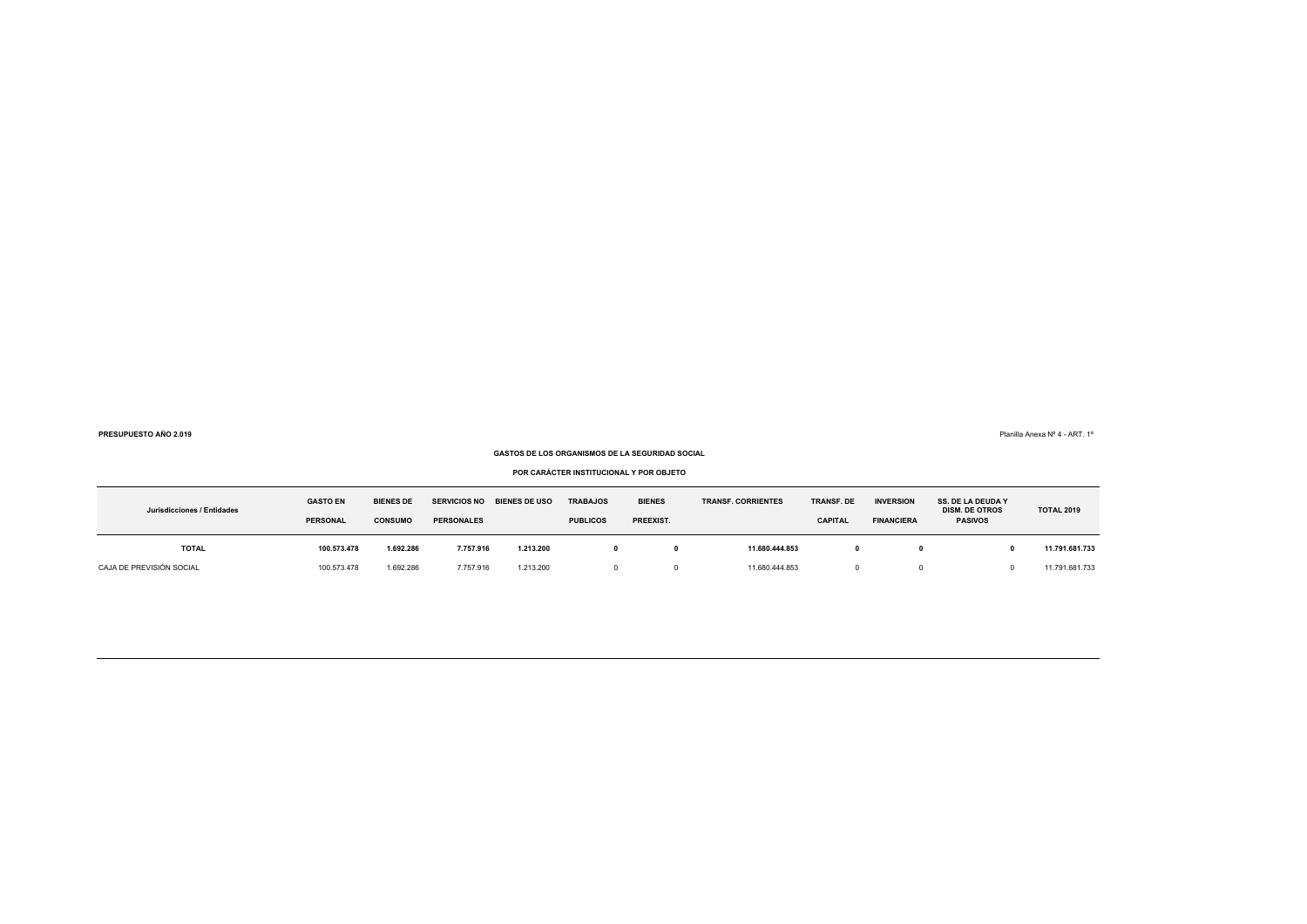Planilla Anexa Nº 4 - ART. 1º

### **GASTOS DE LOS ORGANISMOS DE LA SEGURIDAD SOCIAL**

### **POR CARÁCTER INSTITUCIONAL Y POR OBJETO**

| Jurisdicciones / Entidades | <b>GASTO EN</b><br><b>PERSONAL</b> | <b>BIENES DE</b><br><b>CONSUMO</b> | <b>BIENES DE USO</b><br><b>SERVICIOS NO</b><br><b>PERSONALES</b> |           | <b>TRABAJOS</b><br><b>PUBLICOS</b> | <b>BIENES</b><br>PREEXIST. | <b>TRANSF. CORRIENTES</b> | <b>TRANSF. DE</b><br><b>CAPITAL</b> | <b>INVERSION</b><br><b>FINANCIERA</b> | <b>SS. DE LA DEUDA Y</b><br><b>DISM. DE OTROS</b><br><b>PASIVOS</b> | <b>TOTAL 2019</b> |
|----------------------------|------------------------------------|------------------------------------|------------------------------------------------------------------|-----------|------------------------------------|----------------------------|---------------------------|-------------------------------------|---------------------------------------|---------------------------------------------------------------------|-------------------|
| <b>TOTAL</b>               | 100.573.478                        | 1.692.286                          | 7.757.916                                                        | 1.213.200 |                                    |                            | 11.680.444.853            |                                     |                                       |                                                                     | 11.791.681.733    |
| CAJA DE PREVISIÓN SOCIAL   | 100.573.478                        | 1.692.286                          | 7.757.916                                                        | 1.213.200 |                                    |                            | 11.680.444.853            |                                     |                                       |                                                                     | 11.791.681.733    |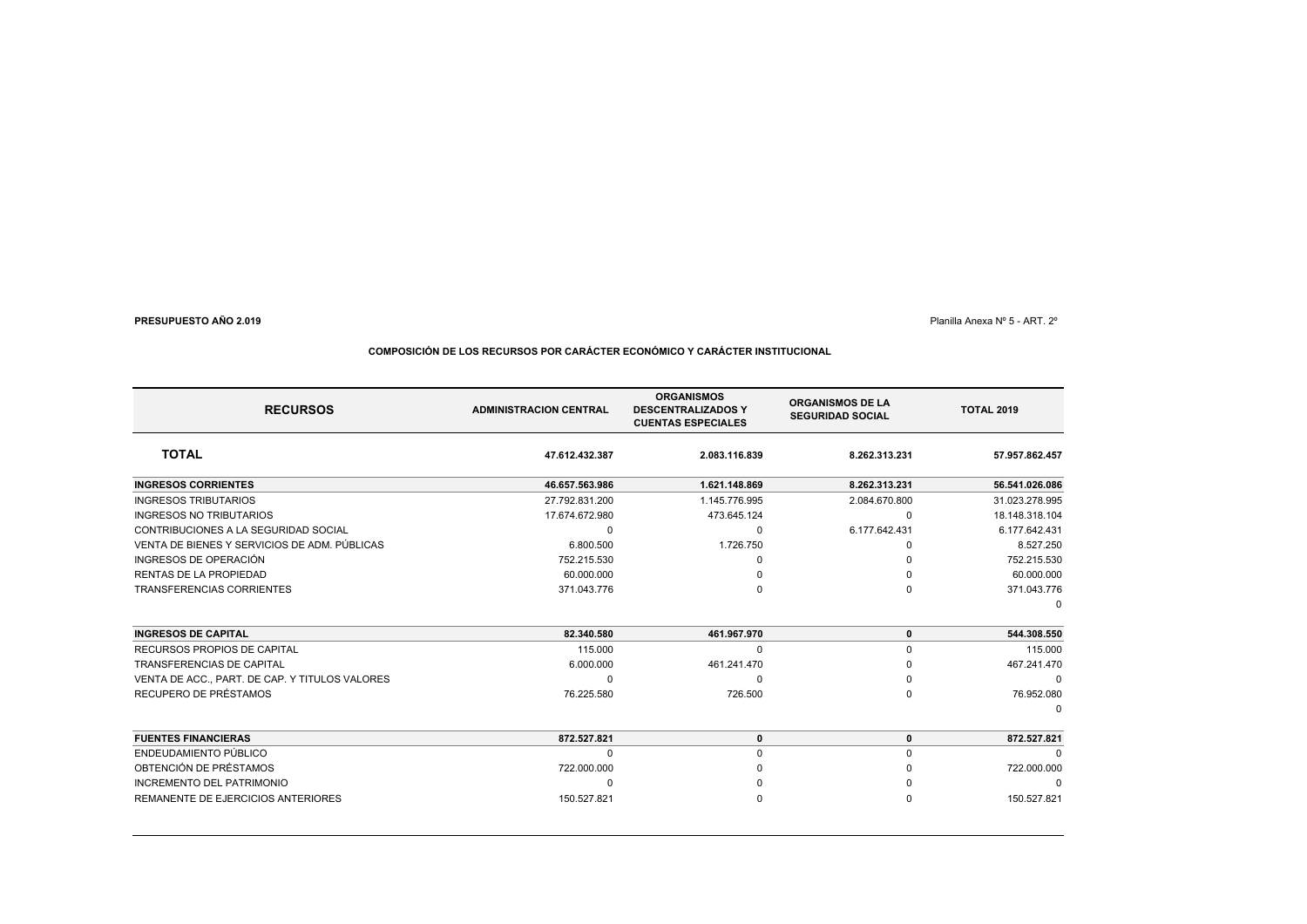Planilla Anexa Nº 5 - ART. 2º

# **COMPOSICIÓN DE LOS RECURSOS POR CARÁCTER ECONÓMICO Y CARÁCTER INSTITUCIONAL**

| <b>RECURSOS</b>                                | <b>ADMINISTRACION CENTRAL</b> | <b>ORGANISMOS</b><br><b>DESCENTRALIZADOS Y</b><br><b>CUENTAS ESPECIALES</b> | <b>ORGANISMOS DE LA</b><br><b>SEGURIDAD SOCIAL</b> | <b>TOTAL 2019</b> |
|------------------------------------------------|-------------------------------|-----------------------------------------------------------------------------|----------------------------------------------------|-------------------|
| <b>TOTAL</b>                                   | 47.612.432.387                | 2.083.116.839                                                               | 8.262.313.231                                      | 57.957.862.457    |
| <b>INGRESOS CORRIENTES</b>                     | 46.657.563.986                | 1.621.148.869                                                               | 8.262.313.231                                      | 56.541.026.086    |
| <b>INGRESOS TRIBUTARIOS</b>                    | 27.792.831.200                | 1.145.776.995                                                               | 2.084.670.800                                      | 31.023.278.995    |
| <b>INGRESOS NO TRIBUTARIOS</b>                 | 17.674.672.980                | 473.645.124                                                                 | O                                                  | 18.148.318.104    |
| CONTRIBUCIONES A LA SEGURIDAD SOCIAL           | $\Omega$                      | $\Omega$                                                                    | 6.177.642.431                                      | 6.177.642.431     |
| VENTA DE BIENES Y SERVICIOS DE ADM. PÚBLICAS   | 6.800.500                     | 1.726.750                                                                   |                                                    | 8.527.250         |
| INGRESOS DE OPERACIÓN                          | 752.215.530                   |                                                                             |                                                    | 752.215.530       |
| RENTAS DE LA PROPIEDAD                         | 60.000.000                    |                                                                             |                                                    | 60.000.000        |
| TRANSFERENCIAS CORRIENTES                      | 371.043.776                   |                                                                             |                                                    | 371.043.776       |
|                                                |                               |                                                                             |                                                    | $\Omega$          |
| <b>INGRESOS DE CAPITAL</b>                     | 82.340.580                    | 461.967.970                                                                 | $\bf{0}$                                           | 544.308.550       |
| RECURSOS PROPIOS DE CAPITAL                    | 115,000                       | $\Omega$                                                                    | $\Omega$                                           | 115,000           |
| <b>TRANSFERENCIAS DE CAPITAL</b>               | 6.000.000                     | 461.241.470                                                                 |                                                    | 467.241.470       |
| VENTA DE ACC., PART. DE CAP. Y TITULOS VALORES | $\Omega$                      | $\Omega$                                                                    |                                                    | $\Omega$          |
| RECUPERO DE PRÉSTAMOS                          | 76.225.580                    | 726.500                                                                     |                                                    | 76.952.080        |
|                                                |                               |                                                                             |                                                    |                   |
| <b>FUENTES FINANCIERAS</b>                     | 872.527.821                   | $\mathbf 0$                                                                 | $\bf{0}$                                           | 872.527.821       |
| ENDEUDAMIENTO PÚBLICO                          | $\Omega$                      | 0                                                                           |                                                    |                   |
| OBTENCIÓN DE PRÉSTAMOS                         | 722.000.000                   |                                                                             |                                                    | 722.000.000       |
| <b>INCREMENTO DEL PATRIMONIO</b>               | $\Omega$                      |                                                                             |                                                    | $\Omega$          |
| REMANENTE DE EJERCICIOS ANTERIORES             | 150.527.821                   |                                                                             |                                                    | 150.527.821       |
|                                                |                               |                                                                             |                                                    |                   |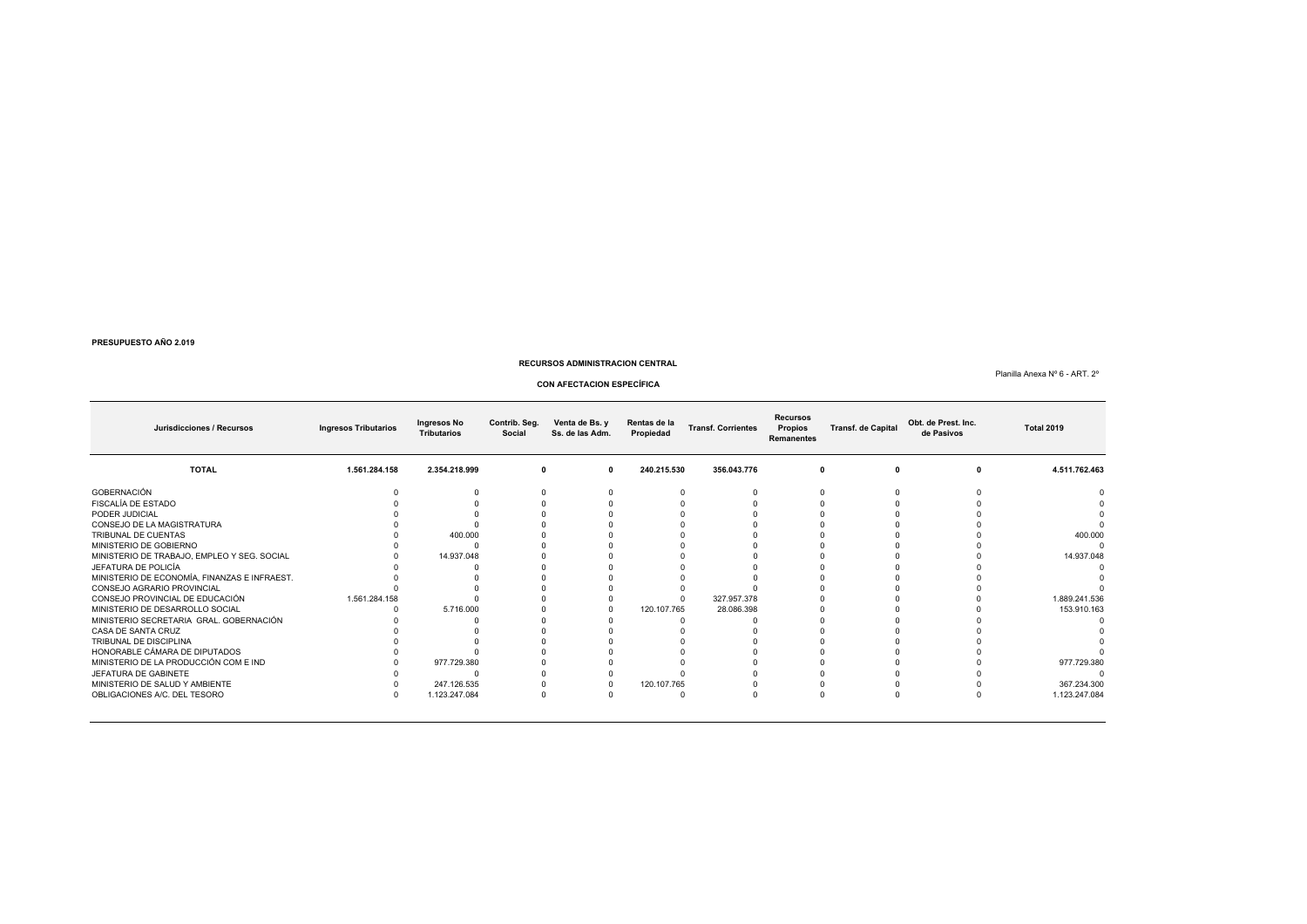#### **RECURSOS ADMINISTRACION CENTRAL**

Planilla Anexa Nº 6 - ART. 2º

#### **CON AFECTACION ESPECÍFICA**

**Jurisdicciones / Recursos Ingresos Tributarios Ingresos No TributariosContrib. Seg. Venta de Bs. y Rentas de la Social Ss. de las Adm. Propiedad Transf. Corrientes Recursos Propios Remanentes Transf. de Capital Obt. de Prest. Inc. de Pasivos Total 2019 TOTAL 1.561.284.158 2.354.218.999 <sup>0</sup> <sup>0</sup> 240.215.530 356.043.776 <sup>0</sup> <sup>0</sup> <sup>0</sup> 4.511.762.463** GOBERNACIÓN <sup>0</sup> <sup>0</sup> <sup>0</sup> <sup>0</sup> <sup>0</sup> <sup>0</sup> <sup>0</sup> <sup>0</sup> <sup>0</sup> <sup>0</sup> FISCALÍA DE ESTADO <sup>0</sup> <sup>0</sup> <sup>0</sup> <sup>0</sup> <sup>0</sup> <sup>0</sup> <sup>0</sup> <sup>0</sup> <sup>0</sup> <sup>0</sup> PODER JUDICIALо представат на открите от открите на последните село в последните село в последните село в последните село в<br>Отчета на последните от открите село в последните село в последните село в последните село в последните село в CONSEJO DE LA MAGISTRATURA <sup>0</sup> <sup>0</sup> <sup>0</sup> <sup>0</sup> <sup>0</sup> <sup>0</sup> <sup>0</sup> <sup>0</sup> <sup>0</sup> <sup>0</sup> TRIBUNAL DE CUENTAS <sup>0</sup> 400.000 <sup>0</sup> <sup>0</sup> <sup>0</sup> <sup>0</sup> <sup>0</sup> <sup>0</sup> <sup>0</sup> 400.000 MINISTERIO DE GOBIERNO <sup>0</sup> <sup>0</sup> <sup>0</sup> <sup>0</sup> <sup>0</sup> <sup>0</sup> <sup>0</sup> <sup>0</sup> <sup>0</sup> <sup>0</sup> MINISTERIO DE TRABAJO, EMPLEO Y SEG. SOCIAL <sup>0</sup> 14.937.048 <sup>0</sup> <sup>0</sup> <sup>0</sup> <sup>0</sup> <sup>0</sup> <sup>0</sup> <sup>0</sup> 14.937.048 JEFATURA DE POLICÍA <sup>0</sup> <sup>0</sup> <sup>0</sup> <sup>0</sup> <sup>0</sup> <sup>0</sup> <sup>0</sup> <sup>0</sup> <sup>0</sup> <sup>0</sup> MINISTERIO DE ECONOMÍA, FINANZAS E INFRAEST. <sup>0</sup> <sup>0</sup> <sup>0</sup> <sup>0</sup> <sup>0</sup> <sup>0</sup> <sup>0</sup> <sup>0</sup> <sup>0</sup> <sup>0</sup> CONSEJO AGRARIO PROVINCIAL <sup>0</sup> <sup>0</sup> <sup>0</sup> <sup>0</sup> <sup>0</sup> <sup>0</sup> <sup>0</sup> <sup>0</sup> <sup>0</sup> <sup>0</sup> CONSEJO PROVINCIAL DE EDUCACIÓN 1.561.284.158 <sup>0</sup> <sup>0</sup> <sup>0</sup> <sup>0</sup> 327.957.378 <sup>0</sup> <sup>0</sup> <sup>0</sup> 1.889.241.536 MINISTERIO DE DESARROLLO SOCIAL <sup>0</sup> 5.716.000 <sup>0</sup> <sup>0</sup> 120.107.765 28.086.398 <sup>0</sup> <sup>0</sup> <sup>0</sup> 153.910.163 MINISTERIO SECRETARIA GRAL. GOBERNACIÓN <sup>0</sup> <sup>0</sup> <sup>0</sup> <sup>0</sup> <sup>0</sup> <sup>0</sup> <sup>0</sup> <sup>0</sup> <sup>0</sup> <sup>0</sup> CASA DE SANTA CRUZ $\frac{1}{2}$  . The contract of the contract of the contract of the contract of the contract of the contract of the contract of the contract of the contract of the contract of the contract of the contract of the contract of t TRIBUNAL DE DISCIPLINA <sup>0</sup> <sup>0</sup> <sup>0</sup> <sup>0</sup> <sup>0</sup> <sup>0</sup> <sup>0</sup> <sup>0</sup> <sup>0</sup> <sup>0</sup> HONORABLE CÁMARA DE DIPUTADOS <sup>0</sup> <sup>0</sup> <sup>0</sup> <sup>0</sup> <sup>0</sup> <sup>0</sup> <sup>0</sup> <sup>0</sup> <sup>0</sup> <sup>0</sup> MINISTERIO DE LA PRODUCCIÓN COM E IND <sup>0</sup> 977.729.380 <sup>0</sup> <sup>0</sup> <sup>0</sup> <sup>0</sup> <sup>0</sup> <sup>0</sup> <sup>0</sup> 977.729.380 JEFATURA DE GABINETE <sup>0</sup> <sup>0</sup> <sup>0</sup> <sup>0</sup> <sup>0</sup> <sup>0</sup> <sup>0</sup> <sup>0</sup> <sup>0</sup> <sup>0</sup> MINISTERIO DE SALUD Y AMBIENTE <sup>0</sup> 247.126.535 <sup>0</sup> <sup>0</sup> 120.107.765 <sup>0</sup> <sup>0</sup> <sup>0</sup> <sup>0</sup> 367.234.300 OBLIGACIONES A/C. DEL TESORO 0 1.123.247.084 <sup>0</sup> <sup>0</sup> <sup>0</sup> <sup>0</sup> <sup>0</sup> <sup>0</sup> <sup>0</sup> 1.123.247.084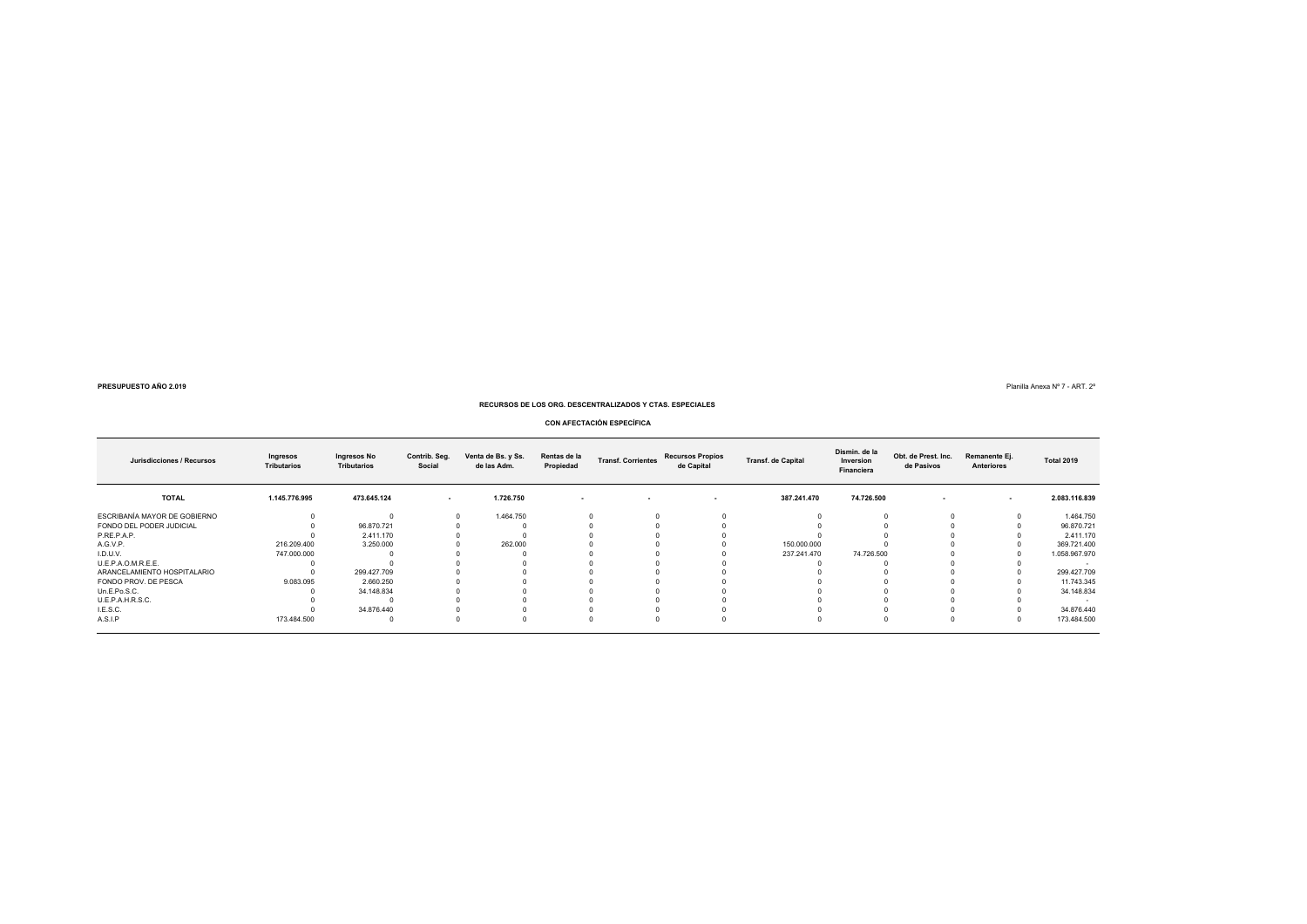**9**  $\blacksquare$  Planilla Anexa N° 7 - ART. 2°

**RECURSOS DE LOS ORG. DESCENTRALIZADOS Y CTAS. ESPECIALES**

**CON AFECTACIÓN ESPECÍFICA**

| Jurisdicciones / Recursos    | Ingresos<br><b>Tributarios</b> | Ingresos No<br><b>Tributarios</b> | Contrib. Seg.<br>Social | Venta de Bs. y Ss.<br>de las Adm. | Rentas de la<br>Propiedad | <b>Transf. Corrientes</b> | <b>Recursos Propios</b><br>de Capital | <b>Transf. de Capital</b> | Dismin. de la<br>Inversion<br>Financiera | Obt. de Prest. Inc.<br>de Pasivos | Remanente Ej.<br><b>Anteriores</b> | <b>Total 2019</b> |
|------------------------------|--------------------------------|-----------------------------------|-------------------------|-----------------------------------|---------------------------|---------------------------|---------------------------------------|---------------------------|------------------------------------------|-----------------------------------|------------------------------------|-------------------|
| <b>TOTAL</b>                 | 1.145.776.995                  | 473.645.124                       | $\sim$                  | 1.726.750                         | $\sim$                    | $\overline{\phantom{a}}$  | $\sim$                                | 387.241.470               | 74.726.500                               | $\sim$                            | $\sim$                             | 2.083.116.839     |
| ESCRIBANÍA MAYOR DE GOBIERNO |                                |                                   |                         | 1.464.750                         |                           |                           |                                       |                           |                                          |                                   |                                    | 1.464.750         |
| FONDO DEL PODER JUDICIAL     |                                | 96.870.721                        |                         |                                   |                           |                           |                                       |                           |                                          |                                   |                                    | 96.870.721        |
| P.RE.P.A.P.                  |                                | 2.411.170                         |                         |                                   |                           |                           |                                       |                           |                                          |                                   |                                    | 2.411.170         |
| A.G.V.P.                     | 216.209.400                    | 3.250.000                         |                         | 262,000                           |                           |                           |                                       | 150,000,000               |                                          |                                   |                                    | 369.721.400       |
| I.D.U.V.                     | 747.000.000                    |                                   |                         |                                   |                           |                           |                                       | 237.241.470               | 74.726.500                               |                                   |                                    | 1.058.967.970     |
| U.E.P.A.O.M.R.E.E.           |                                |                                   |                         |                                   |                           |                           |                                       |                           |                                          |                                   |                                    | $\sim$            |
| ARANCELAMIENTO HOSPITALARIO  |                                | 299.427.709                       |                         |                                   |                           |                           |                                       |                           |                                          |                                   |                                    | 299.427.709       |
| FONDO PROV. DE PESCA         | 9.083.095                      | 2.660.250                         |                         |                                   |                           |                           |                                       |                           |                                          |                                   |                                    | 11.743.345        |
| Un.E.Po.S.C.                 |                                | 34.148.834                        |                         |                                   |                           |                           |                                       |                           |                                          |                                   |                                    | 34.148.834        |
| U.E.P.A.H.R.S.C.             |                                |                                   |                         |                                   |                           |                           |                                       |                           |                                          |                                   |                                    | $\sim$            |
| I.E.S.C.                     |                                | 34.876.440                        |                         |                                   |                           |                           |                                       |                           |                                          |                                   |                                    | 34.876.440        |
| A.S.I.P                      | 173.484.500                    |                                   |                         |                                   |                           |                           |                                       |                           |                                          |                                   |                                    | 173.484.500       |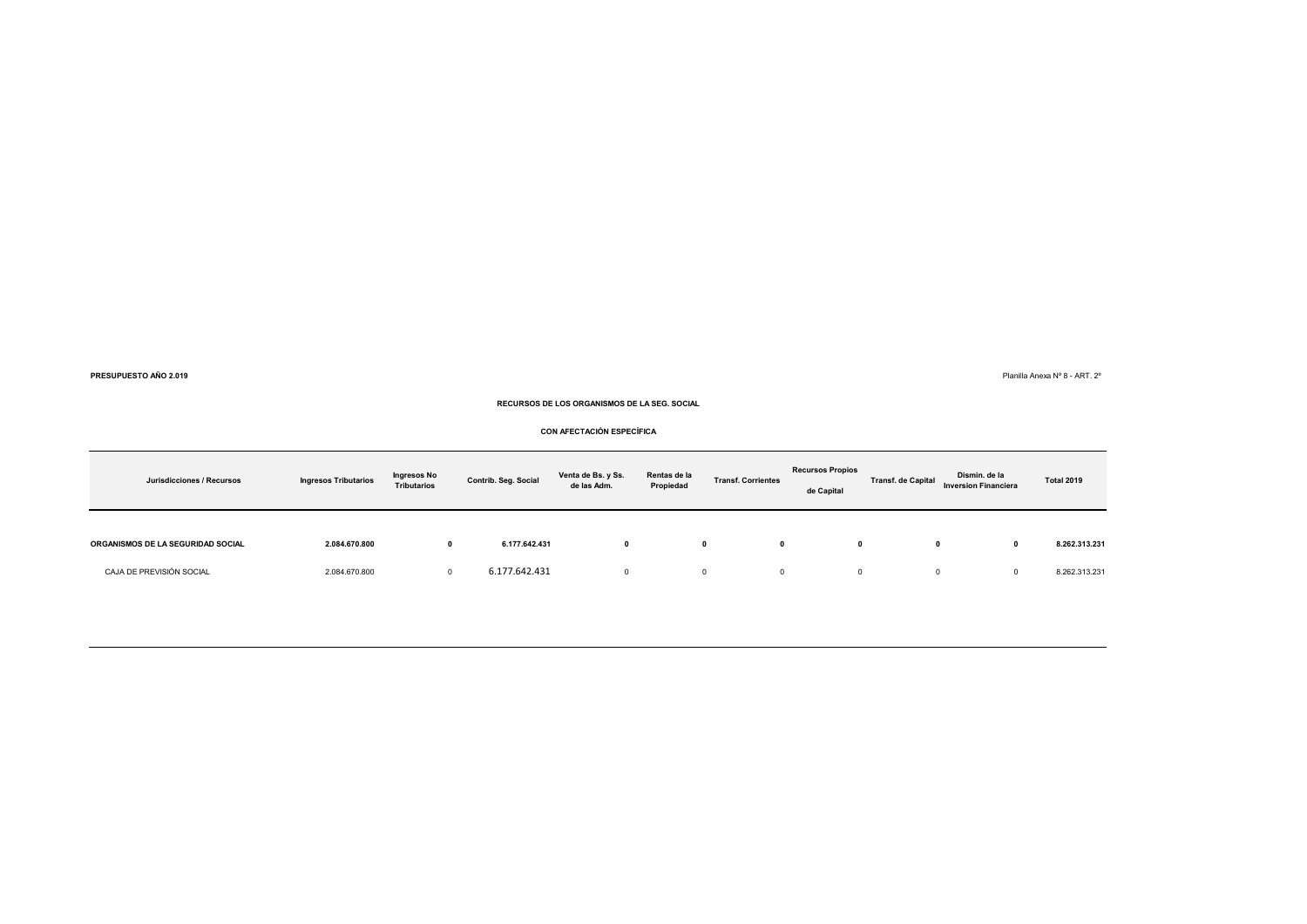Planilla Anexa Nº 8 - ART. 2º

**RECURSOS DE LOS ORGANISMOS DE LA SEG. SOCIAL**

### **CON AFECTACIÓN ESPECÍFICA**

| Jurisdicciones / Recursos         | <b>Ingresos Tributarios</b> | Ingresos No<br><b>Tributarios</b> | Contrib. Seg. Social | Venta de Bs. y Ss.<br>de las Adm. | Rentas de la<br>Propiedad | <b>Transf. Corrientes</b> | <b>Recursos Propios</b><br>de Capital | <b>Transf. de Capital</b> | Dismin. de la<br><b>Inversion Financiera</b> | <b>Total 2019</b> |
|-----------------------------------|-----------------------------|-----------------------------------|----------------------|-----------------------------------|---------------------------|---------------------------|---------------------------------------|---------------------------|----------------------------------------------|-------------------|
| ORGANISMOS DE LA SEGURIDAD SOCIAL | 2.084.670.800               |                                   | 6.177.642.431        |                                   |                           | 0                         | 0                                     | 0                         | 0                                            | 8.262.313.231     |
| CAJA DE PREVISIÓN SOCIAL          | 2.084.670.800               | $\Omega$                          | 6.177.642.431        |                                   |                           | 0                         | $\Omega$                              | 0                         | 0                                            | 8.262.313.231     |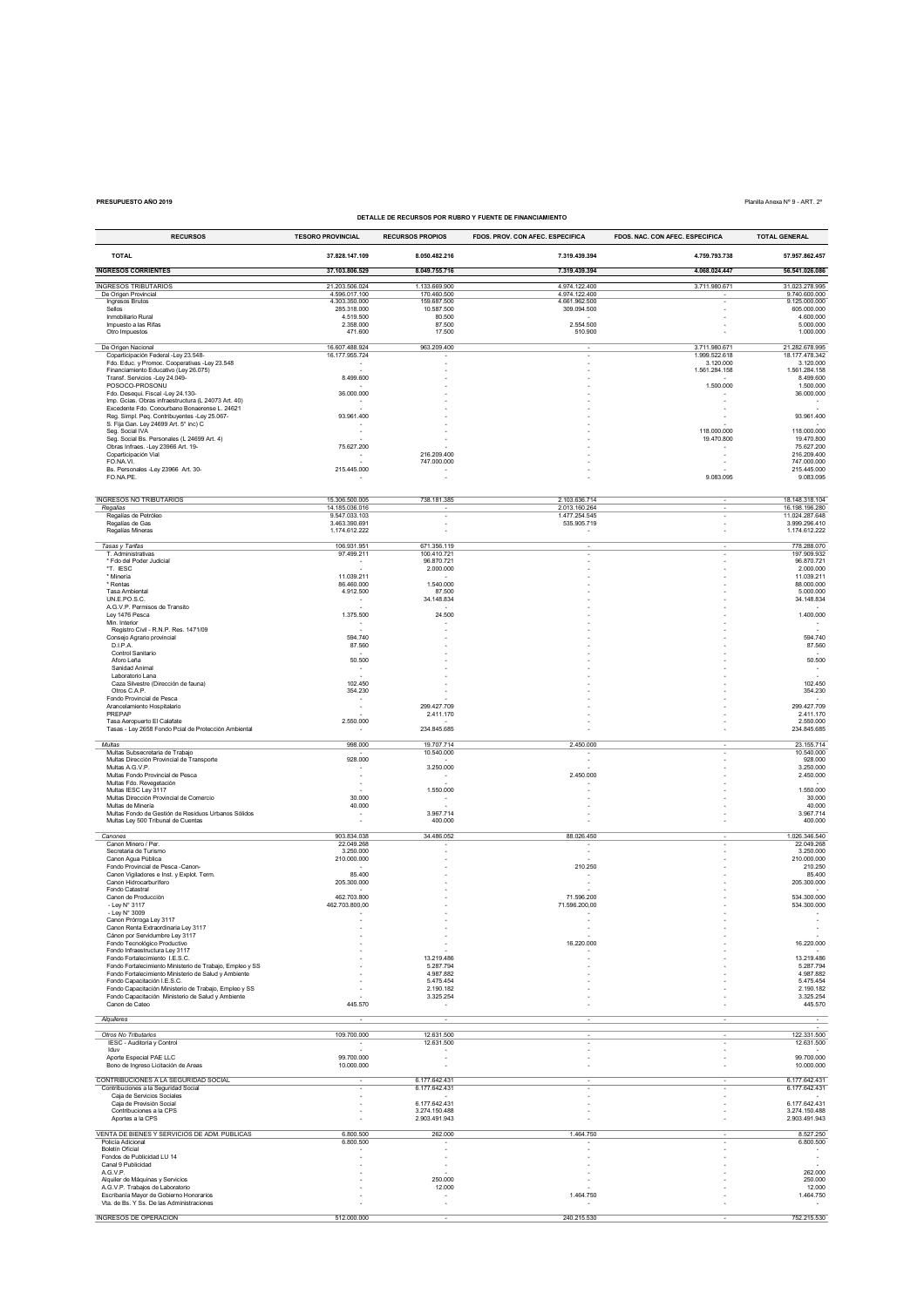# **PRESUPUESTO AÑO 2019** Planilla Anexa Nº 9 - ART. 2º

# **DETALLE DE RECURSOS POR RUBRO Y FUENTE DE FINANCIAMIENTO**

| <b>RECURSOS</b>                                                                                                  | <b>TESORO PROVINCIAL</b>         | <b>RECURSOS PROPIOS</b>                | FDOS. PROV. CON AFEC. ESPECIFICA | FDOS. NAC. CON AFEC. ESPECIFICA | <b>TOTAL GENERAL</b>             |
|------------------------------------------------------------------------------------------------------------------|----------------------------------|----------------------------------------|----------------------------------|---------------------------------|----------------------------------|
| <b>TOTAL</b>                                                                                                     | 37.828.147.109                   | 8.050.482.216                          | 7.319.439.394                    | 4.759.793.738                   | 57.957.862.457                   |
| <b>INGRESOS CORRIENTES</b>                                                                                       | 37.103.806.529                   | 8.049.755.716                          | 7.319.439.394                    | 4.068.024.447                   | 56.541.026.086                   |
|                                                                                                                  |                                  |                                        |                                  |                                 |                                  |
| <b>INGRESOS TRIBUTARIOS</b><br>De Origen Provincial                                                              | 21.203.506.024<br>4.596.017.100  | 1.133.669.900<br>170,460,500           | 4.974.122.400<br>4.974.122.400   | 3.711.980.671                   | 31.023.278.995<br>9.740.600.000  |
| Ingresos Brutos<br>Sellos                                                                                        | 4.303.350.000<br>285.318.000     | 159.687.500<br>10.587.500              | 4 661 962 500<br>309.094.500     |                                 | 9.125.000.000<br>605.000.000     |
| Inmobiliario Rural<br>Impuesto a las Rifas                                                                       | 4.519.500                        | 80,500<br>87,500                       | 2.554.500                        |                                 | 4.600.000<br>5,000,000           |
| Otro Impuestos                                                                                                   | 2.358.000<br>471.600             | 17.500                                 | 510.900                          |                                 | 1.000.000                        |
| De Origen Nacional                                                                                               | 16.607.488.924                   | 963.209.400                            |                                  | 3.711.980.671                   | 21.282.678.995                   |
| Coparticipación Federal -Ley 23.548-<br>Fdo. Educ. y Promoc. Cooperativas -Ley 23.548                            | 16.177.955.724                   |                                        |                                  | 1.999.522.618<br>3.120.000      | 18.177.478.342<br>3.120.000      |
| Financiamiento Educativo (Ley 26.075)<br>Transf. Servicios -Ley 24.049-                                          | 8.499.600                        |                                        |                                  | 1.561.284.158                   | 1.561.284.158<br>8.499.600       |
| POSOCO-PROSONU                                                                                                   |                                  |                                        |                                  | 1.500.000                       | 1.500.000                        |
| Fdo. Desequi. Fiscal -Ley 24.130-<br>Imp. Goias, Obras infraestructura (L 24073 Art 40)                          | 36.000.000                       |                                        |                                  |                                 | 36.000.000                       |
| Excedente Fdo. Conourbano Bonaerense L. 24621<br>Reg. Simpl. Peq. Contribuyentes -Ley 25.067-                    | 93.961.400                       |                                        |                                  | ٠                               | 93.961.400                       |
| S. Fija Gan. Ley 24699 Art. 5° inc) C                                                                            |                                  |                                        |                                  |                                 |                                  |
| Seg. Social IVA<br>Seg. Social Bs. Personales (L 24699 Art. 4)                                                   | ٠                                |                                        |                                  | 118.000.000<br>19.470.800       | 118.000.000<br>19.470.800        |
| Obras Infraes. - Ley 23966 Art. 19-<br>Coparticipación Vial                                                      | 75.627.200                       | 216.209.400                            |                                  |                                 | 75.627.200<br>216.209.400        |
| FO.NA.VI.                                                                                                        |                                  | 747.000.000                            |                                  |                                 | 747.000.000                      |
| Bs. Personales -Ley 23966 Art. 30-<br>FO.NA.PE.                                                                  | 215.445.000                      |                                        |                                  | 9.083.095                       | 215.445.000<br>9.083.095         |
|                                                                                                                  |                                  |                                        |                                  |                                 |                                  |
| <b>INGRESOS NO TRIBUTARIOS</b><br>Regalias                                                                       | 15.306.500.005<br>14.185.036.016 | 738.181.385                            | 2.103.636.714<br>2.013.160.264   | $\overline{\phantom{a}}$        | 18.148.318.104<br>16.198.196.280 |
| Regalías de Petróleo                                                                                             | 9.547.033.103                    |                                        | 1.477.254.545                    |                                 | 11.024.287.648                   |
| Regalías de Gas<br>Regalías Mineras                                                                              | 3.463.390.691<br>1.174.612.222   |                                        | 535.905.719                      |                                 | 3.999.296.410<br>1.174.612.222   |
| Tasas y Tarifas                                                                                                  | 106.931.951                      | 671.356.119                            |                                  |                                 | 778.288.070                      |
| T. Administrativas                                                                                               | 97.499.211                       | 100.410.721                            |                                  |                                 | 197.909.932                      |
| * Fdo del Poder Judicial<br>*T IESC                                                                              |                                  | 96.870.721<br>2.000.000                |                                  |                                 | 96.870.721<br>2.000.000          |
| * Minería<br>* Rentas                                                                                            | 11.039.211<br>86.460.000         | 1.540.000                              |                                  |                                 | 11.039.211<br>88.000.000         |
| <b>Tasa Ambiental</b>                                                                                            | 4.912.500                        | 87.500                                 |                                  |                                 | 5.000.000                        |
| UN.E.PO.S.C.<br>A.G.V.P. Permisos de Transito                                                                    |                                  | 34.148.834                             |                                  |                                 | 34.148.834                       |
| Ley 1476 Pesca<br>Min Interior                                                                                   | 1.375.500                        | 24.500                                 |                                  |                                 | 1.400.000                        |
| Registro Civil - R.N.P. Res. 1471/09                                                                             |                                  |                                        |                                  |                                 |                                  |
| Consejo Agrario provincial<br>D.I.P.A.                                                                           | 594.740<br>87.560                |                                        |                                  |                                 | 594.740<br>87.560                |
| Control Sanitario<br>Aforo Leña                                                                                  | 50.500                           |                                        |                                  |                                 | 50.500                           |
| Sanidad Animal<br>Laboratorio Lana                                                                               | $\overline{\phantom{a}}$         |                                        |                                  |                                 | $\sim$                           |
| Caza Silvestre (Dirección de fauna)                                                                              | 102.450                          |                                        |                                  |                                 | 102.450                          |
| Otros C.A.P.<br>Fondo Provincial de Pesca                                                                        | 354.230                          |                                        |                                  |                                 | 354.230                          |
| Arancelamiento Hospitalario<br>PREPAP                                                                            | ×,                               | 299.427.709<br>2.411.170               |                                  |                                 | 299.427.709<br>2.411.170         |
| Tasa Aeropuerto El Calafate                                                                                      | 2.550.000                        |                                        |                                  |                                 | 2.550.000                        |
| Tasas - Ley 2658 Fondo Pcial de Protección Ambiental                                                             |                                  | 234.845.685                            |                                  |                                 | 234.845.685                      |
| Multas<br>Multas Subsecretaria de Trabajo                                                                        | 998.000                          | 19.707.714<br>10.540.000               | 2.450.000                        |                                 | 23.155.714<br>10.540.000         |
| Multas Dirección Provincial de Transporte                                                                        | 928.000                          |                                        |                                  |                                 | 928,000                          |
| Multas A.G.V.P.<br>Multas Fondo Provincial de Pesca                                                              |                                  | 3.250.000                              | 2.450.000                        |                                 | 3.250.000<br>2.450.000           |
| Multas Fdo. Revegetación<br>Multas IESC Ley 3117                                                                 | $\overline{\phantom{a}}$         | 1.550.000                              |                                  |                                 | 1.550.000                        |
| Multas Dirección Provincial de Comercio<br>Multas de Minería                                                     | 30.000<br>40.000                 |                                        |                                  |                                 | 30.000<br>40.000                 |
| Multas Fondo de Gestión de Residuos Urbanos Sólidos                                                              |                                  | 3.967.714                              |                                  |                                 | 3.967.714                        |
| Multas Ley 500 Tribunal de Cuentas                                                                               |                                  | 400.000                                |                                  |                                 | 400.000                          |
| Canones<br>Canon Minero / Per.                                                                                   | 903.834.038<br>22.049.268        | 34.486.052                             | 88.026.450                       |                                 | 1.026.346.540<br>22 049 268      |
| Secretaria de Turismo                                                                                            | 3.250.000                        |                                        |                                  |                                 | 3.250.000                        |
| Canon Agua Pública<br>Fondo Provincial de Pesca -Canon-                                                          | 210.000.000                      |                                        | 210.250                          |                                 | 210.000.000<br>210.250           |
| Canon Vigiladores e Inst. y Explot. Term.<br>Canon Hidrocarburífero                                              | 85.400<br>205.300.000            |                                        |                                  |                                 | 85.400<br>205.300.000            |
| Fondo Catastral                                                                                                  |                                  |                                        |                                  |                                 |                                  |
| Canon de Producción<br>- Ley N° 3117                                                                             | 462.703.800<br>462.703.800,00    |                                        | 71.596.200<br>71.596.200,00      |                                 | 534.300.000<br>534.300.000       |
| - Ley N° 3009<br>Canon Prórroga Ley 3117                                                                         |                                  |                                        |                                  |                                 |                                  |
| Canon Renta Extraordinaria Ley 3117                                                                              |                                  |                                        |                                  |                                 |                                  |
| Cánon por Servidumbre Ley 3117<br>Fondo Tecnológico Productivo                                                   |                                  |                                        | 16.220.000                       |                                 | 16.220.000                       |
| Fondo Infraestructura Ley 3117<br>Fondo Fortalecimiento I.E.S.C.                                                 |                                  | 13.219.486                             |                                  |                                 | 13.219.486                       |
| Fondo Fortalecimiento Ministerio de Trabajo, Empleo y SS<br>Fondo Fortalecimiento Ministerio de Salud y Ambiente |                                  | 5.287.794<br>4.987.882                 |                                  |                                 | 5.287.794<br>4.987.882           |
| Fondo Capacitación I.E.S.C.                                                                                      |                                  | 5.475.454                              |                                  |                                 | 5.475.454                        |
| Fondo Capacitación Ministerio de Trabajo, Empleo y SS<br>Fondo Capacitación Ministerio de Salud y Ambiente       |                                  | 2.190.182<br>3.325.254                 |                                  |                                 | 2.190.182<br>3.325.254           |
| Canon de Cateo                                                                                                   | 445.570                          |                                        |                                  |                                 | 445.570                          |
| Alquileres                                                                                                       |                                  |                                        |                                  |                                 | $\sim$                           |
| Otros No Tributarios                                                                                             | 109.700.000                      | 12 631 500                             |                                  |                                 | 122.331.500                      |
| IESC - Auditoría y Control<br>Iduv                                                                               |                                  | 12.631.500<br>$\overline{\phantom{a}}$ |                                  |                                 | 12.631.500                       |
| Aporte Especial PAE LLC                                                                                          | 99.700.000                       | $\overline{a}$                         |                                  |                                 | 99.700.000                       |
| Bono de Ingreso Licitación de Areas                                                                              | 10.000.000                       |                                        |                                  |                                 | 10.000.000                       |
| CONTRIBUCIONES A LA SEGURIDAD SOCIAL<br>Contribuciones a la Seguridad Social                                     |                                  | 6.177.642.431<br>6.177.642.431         |                                  |                                 | 6.177.642.431<br>6.177.642.431   |
| Caja de Servicios Sociales<br>Caja de Previsión Social                                                           |                                  | 6.177.642.431                          |                                  |                                 | 6.177.642.431                    |
| Contribuciones a la CPS                                                                                          |                                  | 3.274.150.488                          |                                  |                                 | 3.274.150.488                    |
| Aportes a la CPS                                                                                                 |                                  | 2.903.491.943                          |                                  |                                 | 2.903.491.943                    |
| VENTA DE BIENES Y SERVICIOS DE ADM. PUBLICAS<br>Policía Adicional                                                | 6.800.500<br>6.800.500           | 262.000                                | 1.464.750                        |                                 | 8.527.250<br>6.800.500           |
| Boletín Oficial                                                                                                  |                                  | ÷,                                     |                                  |                                 |                                  |
| Fondos de Publicidad LU 14<br>Canal 9 Publicidad                                                                 |                                  | ×,                                     |                                  |                                 |                                  |
| A.G.V.P.<br>Alquiler de Máquinas y Servicios                                                                     |                                  | 250.000                                |                                  |                                 | 262.000<br>250.000               |
| A.G.V.P. Trabajos de Laboratorio                                                                                 |                                  | 12.000                                 |                                  |                                 | 12.000                           |
| Escribanía Mayor de Gobierno Honorarios<br>Vta. de Bs. Y Ss. De las Administraciones                             |                                  |                                        | 1.464.750                        |                                 | 1.464.750                        |
| <b>INGRESOS DE OPERACIÓN</b>                                                                                     | 512.000.000                      |                                        | 240.215.530                      |                                 | 752.215.530                      |
|                                                                                                                  |                                  |                                        |                                  |                                 |                                  |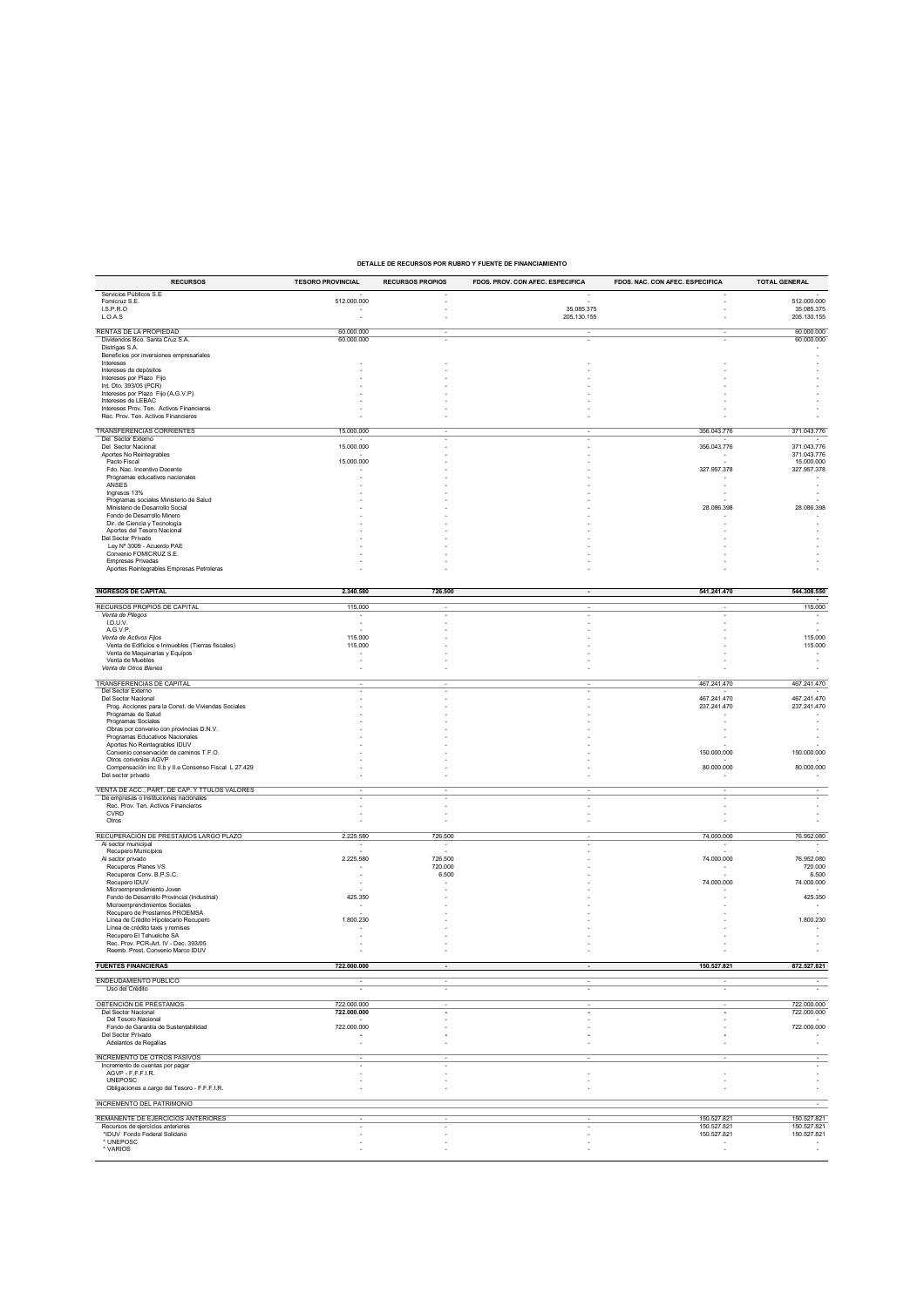# **DETALLE DE RECURSOS POR RUBRO Y FUENTE DE FINANCIAMIENTO**

| <b>RECURSOS</b>                                                                         | <b>TESORO PROVINCIAL</b>                | <b>RECURSOS PROPIOS</b> | FDOS. PROV. CON AFEC. ESPECIFICA | FDOS. NAC. CON AFEC. ESPECIFICA    | <b>TOTAL GENERAL</b>                    |
|-----------------------------------------------------------------------------------------|-----------------------------------------|-------------------------|----------------------------------|------------------------------------|-----------------------------------------|
| Servicios Públicos S.E                                                                  |                                         |                         |                                  |                                    |                                         |
| Fomicruz S.E.<br>LS.P.R.O                                                               | 512.000.000                             |                         |                                  |                                    | 512.000.000                             |
| L.O.A.S                                                                                 |                                         |                         | 35.085.375<br>205.130.155        |                                    | 35.085.375<br>205.130.155               |
|                                                                                         |                                         |                         |                                  |                                    |                                         |
| RENTAS DE LA PROPIEDAD<br>Dividendos Bco. Santa Cruz S.A.                               | 60.000.000<br>60.000.000                |                         | ٠                                |                                    | 60,000,000<br>60.000.000                |
| Distrigas S.A.                                                                          |                                         |                         |                                  |                                    |                                         |
| Beneficios por inversiones empresariales                                                |                                         |                         |                                  |                                    |                                         |
| Intereses<br>Intereses de depósitos                                                     |                                         |                         |                                  |                                    |                                         |
| Intereses por Plazo Fijo                                                                |                                         |                         |                                  |                                    |                                         |
| Int. Dto. 393/05 (PCR)<br>Intereses por Plazo Fijo (A.G.V.P)                            |                                         |                         |                                  |                                    |                                         |
| Intereses de LEBAC                                                                      |                                         |                         |                                  |                                    |                                         |
| Intereses Prov. Ten. Activos Financieros                                                |                                         |                         |                                  |                                    |                                         |
| Rec. Prov. Ten. Activos Financieros                                                     |                                         |                         |                                  |                                    |                                         |
| TRANSFERENCIAS CORRIENTES                                                               | 15.000.000                              |                         |                                  | 356.043.776                        | 371.043.776                             |
| Del Sector Externo                                                                      |                                         |                         |                                  |                                    |                                         |
| <b>Del Sector Nacional</b><br>Aportes No Reintegrables                                  | 15.000.000                              |                         |                                  | 356.043.776                        | 371.043.776<br>371.043.776              |
| Pacto Fiscal                                                                            | 15.000.000                              |                         |                                  |                                    | 15.000.000                              |
| Fdo. Nac. Incentivo Docente<br>Programas educativos nacionales                          |                                         |                         |                                  | 327.957.378                        | 327.957.378                             |
| ANSES                                                                                   |                                         |                         |                                  |                                    |                                         |
| Ingresos 13%                                                                            |                                         |                         |                                  |                                    |                                         |
| Programas sociales Ministerio de Salud<br>Ministerio de Desarrollo Social               |                                         |                         |                                  | 28.086.398                         | 28.086.398                              |
| Fondo de Desarrollo Minero                                                              |                                         |                         |                                  |                                    |                                         |
| Dir. de Ciencia y Tecnología                                                            |                                         |                         |                                  |                                    |                                         |
| Aportes del Tesoro Nacional<br>Del Sector Privado                                       |                                         |                         |                                  |                                    |                                         |
| Ley Nº 3009 - Acuerdo PAE                                                               |                                         |                         |                                  |                                    |                                         |
| Convenio FOMICRUZ S.E.                                                                  |                                         |                         |                                  |                                    |                                         |
| <b>Empresas Privadas</b><br>Aportes Reintegrables Empresas Petroleras                   |                                         |                         |                                  |                                    |                                         |
|                                                                                         |                                         |                         |                                  |                                    |                                         |
| <b>INGRESOS DE CAPITAL</b>                                                              | 2.340.580                               |                         |                                  |                                    |                                         |
|                                                                                         |                                         | 726.500                 |                                  | 541.241.470                        | 544.308.550                             |
| RECURSOS PROPIOS DE CAPITAL                                                             | 115.000                                 |                         |                                  |                                    | 115.000                                 |
| Venta de Pliegos                                                                        |                                         |                         |                                  |                                    |                                         |
| I.D.U.V.<br>A.G.V.P.                                                                    |                                         |                         |                                  |                                    |                                         |
| Venta de Activos Fijos                                                                  | 115,000                                 |                         |                                  |                                    | 115.000                                 |
| Venta de Edificios e Inmuebles (Tierras fiscales)<br>Venta de Maquinarias y Equipos     | 115.000                                 |                         |                                  |                                    | 115.000                                 |
| Venta de Muebles                                                                        |                                         |                         |                                  |                                    |                                         |
| Venta de Otros Bienes                                                                   |                                         |                         |                                  |                                    |                                         |
| TRANSFERENCIAS DE CAPITAL                                                               |                                         |                         |                                  | 467.241.470                        | 467.241.470                             |
| Del Sector Externo                                                                      |                                         |                         |                                  |                                    |                                         |
| Del Sector Nacional                                                                     |                                         |                         |                                  | 467.241.470                        | 467.241.470                             |
| Prog. Acciones para la Const. de Viviendas Sociales<br>Programas de Salud               |                                         |                         |                                  | 237.241.470                        | 237.241.470                             |
| Programas Sociales                                                                      |                                         |                         |                                  |                                    |                                         |
| Obras por convenio con provincias D.N.V.<br>Programas Educativos Nacionales             |                                         |                         |                                  |                                    |                                         |
| Aportes No Reintegrables IDUV                                                           |                                         |                         |                                  |                                    |                                         |
| Convenio conservación de caminos T.F.O.                                                 |                                         |                         |                                  | 150.000.000                        | 150.000.000                             |
| Otros convenios AGVP                                                                    |                                         |                         |                                  | 80.000.000                         | 80.000.000                              |
| Compensación inc II.b y II.e Consenso Fiscal L 27.429<br>Del sector privado             |                                         |                         |                                  |                                    |                                         |
|                                                                                         |                                         |                         |                                  |                                    |                                         |
| VENTA DE ACC., PART. DE CAP. Y TTULOS VALORES<br>De empresas o instituciones nacionales |                                         |                         |                                  |                                    |                                         |
| Rec. Prov. Ten. Activos Financieros                                                     |                                         |                         |                                  |                                    |                                         |
| CVRD                                                                                    |                                         |                         |                                  |                                    |                                         |
| Otros                                                                                   |                                         |                         |                                  |                                    |                                         |
| RECUPERACIÓN DE PRESTAMOS LARGO PLAZO                                                   | 2.225.580                               | 726.500                 |                                  | 74.000.000                         | 76.952.080                              |
| Al sector municipal                                                                     |                                         |                         |                                  |                                    |                                         |
| Recupero Municipios<br>Al sector privado                                                | 2.225.580                               | 726.500                 |                                  | 74.000.000                         | 76.952.080                              |
| Recuperos Planes VS                                                                     |                                         | 720.000                 |                                  |                                    | 720.000                                 |
| Recuperos Conv. B.P.S.C.                                                                |                                         | 6.500                   |                                  |                                    | 6.500                                   |
| Recupero IDUV<br>Microemprendimiento Joven                                              |                                         |                         |                                  | 74.000.000                         | 74.000.000                              |
| Fondo de Desarrollo Provincial (Industrial)                                             | 425.350                                 |                         |                                  |                                    | 425.350                                 |
| Microemprendimientos Sociales                                                           |                                         |                         |                                  |                                    |                                         |
| Recupero de Prestamos PROEMSA<br>Línea de Crédito Hipotecario Recupero                  | 1.800.230                               |                         |                                  |                                    | 1.800.230                               |
| Línea de crédito taxis y remises                                                        |                                         |                         |                                  |                                    |                                         |
| Recupero El Tehuelche SA<br>Rec. Prov. PCR-Art. IV - Dec. 393/05                        |                                         |                         |                                  |                                    |                                         |
| Reemb. Prest. Convenio Marco IDUV                                                       |                                         |                         |                                  |                                    |                                         |
|                                                                                         |                                         |                         |                                  |                                    |                                         |
| <b>FUENTES FINANCIERAS</b>                                                              | 722.000.000                             |                         |                                  | 150.527.821                        | 872.527.821                             |
| ENDEUDAMIENTO PÚBLICO                                                                   |                                         |                         |                                  |                                    |                                         |
| Uso del Crédito                                                                         |                                         |                         |                                  |                                    |                                         |
| OBTENCIÓN DE PRÉSTAMOS                                                                  | 722.000.000                             |                         |                                  |                                    | 722.000.000                             |
| Del Sector Nacional                                                                     | 722.000.000                             |                         |                                  |                                    | 722.000.000                             |
| Del Tesoro Nacional<br>Fondo de Garantía de Sustentabilidad                             |                                         |                         |                                  |                                    |                                         |
| Del Sector Privado                                                                      | 722.000.000<br>$\overline{\phantom{a}}$ |                         |                                  |                                    | 722.000.000<br>$\overline{\phantom{a}}$ |
| Adelantos de Regalías                                                                   | ÷,                                      |                         |                                  |                                    |                                         |
| <b>INCREMENTO DE OTROS PASIVOS</b>                                                      |                                         |                         |                                  |                                    |                                         |
| Incremento de cuentas por pagar                                                         |                                         |                         |                                  |                                    |                                         |
| AGVP - F.F.F.I.R.                                                                       |                                         |                         |                                  |                                    |                                         |
| <b>UNEPOSC</b><br>Obligaciones a cargo del Tesoro - F.F.F.I.R.                          |                                         |                         |                                  |                                    |                                         |
|                                                                                         |                                         |                         |                                  |                                    |                                         |
| <b>INCREMENTO DEL PATRIMONIO</b>                                                        |                                         |                         |                                  |                                    |                                         |
| REMANENTE DE EJERCICIOS ANTERIORES                                                      |                                         |                         |                                  | 150.527.821                        | 150.527.821                             |
| Recursos de ejercicios anteriores                                                       |                                         |                         |                                  | 150.527.821                        | 150.527.821                             |
| *IDUV Fondo Federal Solidario<br>* UNEPOSC                                              |                                         |                         |                                  | 150.527.821                        | 150.527.821                             |
| * VARIOS                                                                                |                                         |                         |                                  | $\sim$<br>$\overline{\phantom{a}}$ | $\sim$<br>$\sim$                        |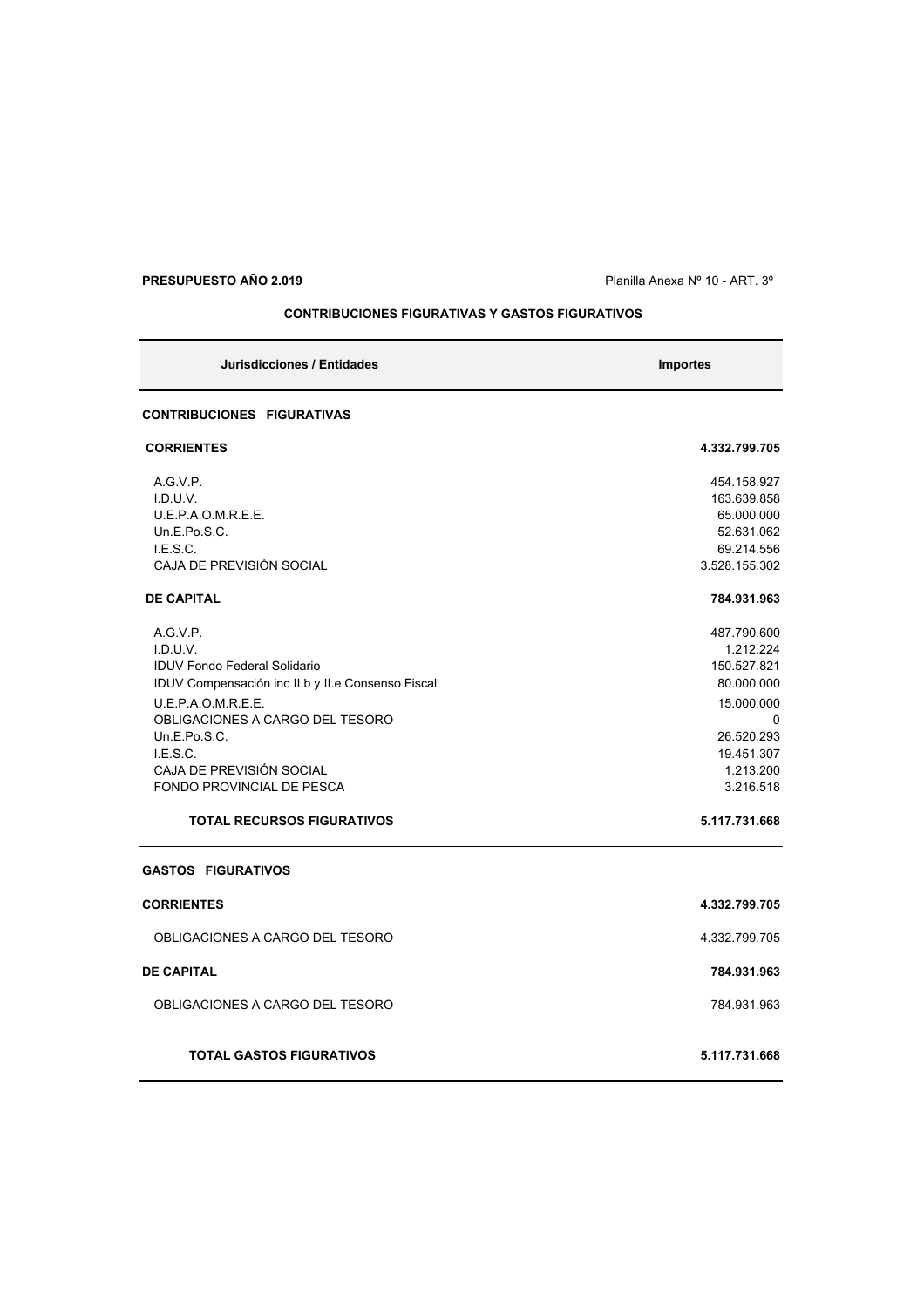# **PRESUPUESTO AÑO 2.019 PRESUPUESTO AÑO 2.019 Planilla Anexa N° 10 - ART. 3°**

# **CONTRIBUCIONES FIGURATIVAS Y GASTOS FIGURATIVOS**

| Jurisdicciones / Entidades                                                                                                                                                                                                                                                                                | <b>Importes</b>                                                                                                                                        |
|-----------------------------------------------------------------------------------------------------------------------------------------------------------------------------------------------------------------------------------------------------------------------------------------------------------|--------------------------------------------------------------------------------------------------------------------------------------------------------|
| <b>CONTRIBUCIONES FIGURATIVAS</b>                                                                                                                                                                                                                                                                         |                                                                                                                                                        |
| <b>CORRIENTES</b>                                                                                                                                                                                                                                                                                         | 4.332.799.705                                                                                                                                          |
| A.G.V.P.<br>I.D.U.V.<br>U.E.P.A.O.M.R.E.E.<br>Un.E.Po.S.C.<br>LE.S.C.<br>CAJA DE PREVISIÓN SOCIAL                                                                                                                                                                                                         | 454.158.927<br>163.639.858<br>65.000.000<br>52.631.062<br>69.214.556<br>3.528.155.302                                                                  |
| <b>DE CAPITAL</b>                                                                                                                                                                                                                                                                                         | 784.931.963                                                                                                                                            |
| A.G.V.P.<br>I.D.U.V.<br><b>IDUV Fondo Federal Solidario</b><br>IDUV Compensación inc II.b y II.e Consenso Fiscal<br>U.E.P.A.O.M.R.E.E.<br>OBLIGACIONES A CARGO DEL TESORO<br>Un.E.Po.S.C.<br>LE.S.C.<br>CAJA DE PREVISIÓN SOCIAL<br><b>FONDO PROVINCIAL DE PESCA</b><br><b>TOTAL RECURSOS FIGURATIVOS</b> | 487.790.600<br>1.212.224<br>150.527.821<br>80.000.000<br>15.000.000<br>$\Omega$<br>26.520.293<br>19.451.307<br>1.213.200<br>3.216.518<br>5.117.731.668 |
| <b>GASTOS FIGURATIVOS</b>                                                                                                                                                                                                                                                                                 |                                                                                                                                                        |
| <b>CORRIENTES</b>                                                                                                                                                                                                                                                                                         | 4.332.799.705                                                                                                                                          |
| OBLIGACIONES A CARGO DEL TESORO                                                                                                                                                                                                                                                                           | 4.332.799.705                                                                                                                                          |
| <b>DE CAPITAL</b>                                                                                                                                                                                                                                                                                         | 784.931.963                                                                                                                                            |
| OBLIGACIONES A CARGO DEL TESORO                                                                                                                                                                                                                                                                           | 784 931 963                                                                                                                                            |
| <b>TOTAL GASTOS FIGURATIVOS</b>                                                                                                                                                                                                                                                                           | 5.117.731.668                                                                                                                                          |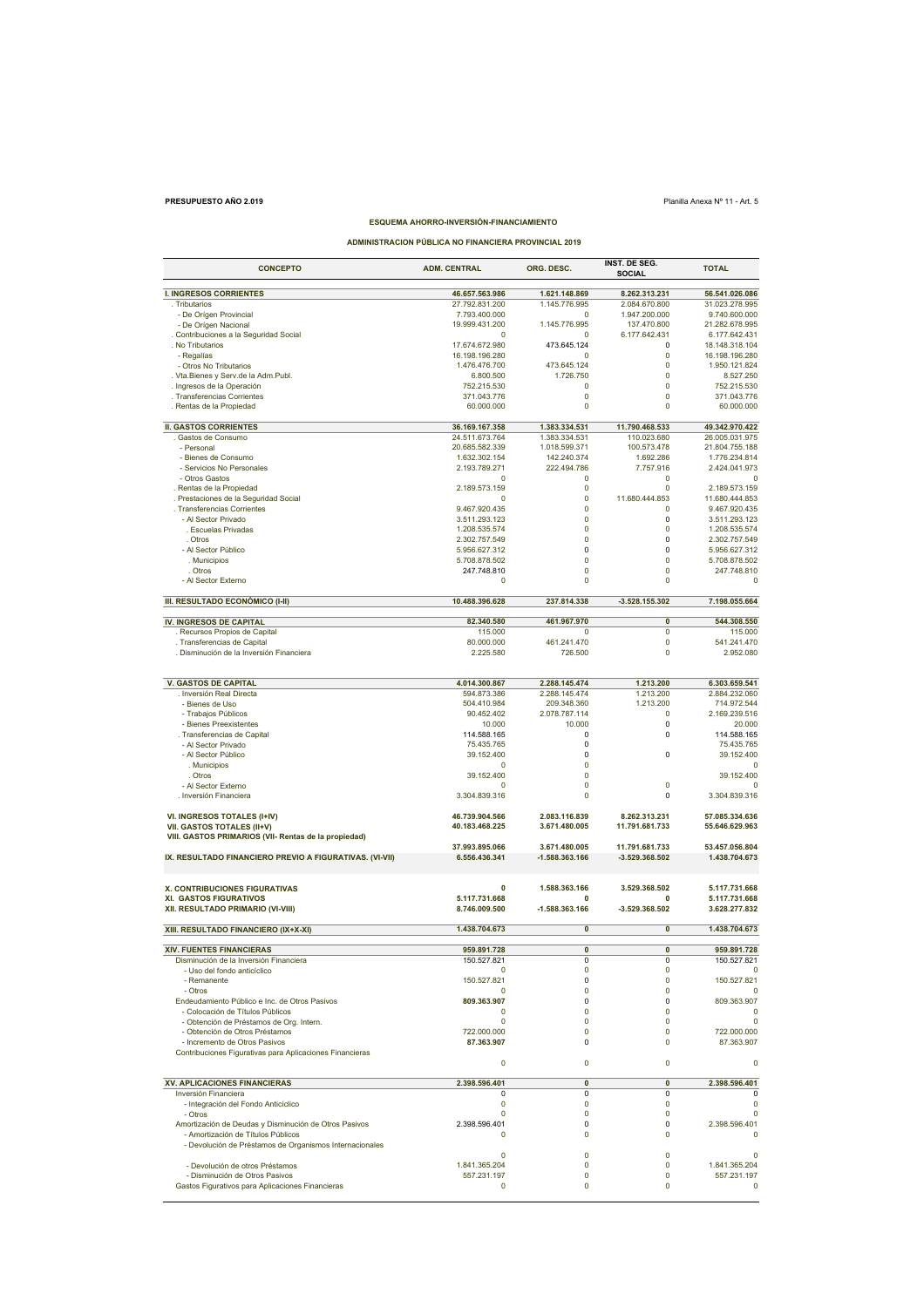# **PRESUPUESTO AÑO 2.019** Planilla Anexa Nº 11 - Art. 5

# **ESQUEMA AHORRO-INVERSIÓN-FINANCIAMIENTO**

**ADMINISTRACION PÚBLICA NO FINANCIERA PROVINCIAL 2019**

| <b>CONCEPTO</b>                                                                               | <b>ADM. CENTRAL</b>             | ORG. DESC.                   | INST. DE SEG.<br><b>SOCIAL</b> | <b>TOTAL</b>                    |
|-----------------------------------------------------------------------------------------------|---------------------------------|------------------------------|--------------------------------|---------------------------------|
| <b>I. INGRESOS CORRIENTES</b>                                                                 | 46.657.563.986                  | 1.621.148.869                | 8.262.313.231                  | 56.541.026.086                  |
| . Tributarios                                                                                 | 27.792.831.200                  | 1.145.776.995                | 2.084.670.800                  | 31.023.278.995                  |
| - De Orígen Provincial                                                                        | 7.793.400.000                   | $\Omega$                     | 1.947.200.000                  | 9.740.600.000                   |
| - De Orígen Nacional                                                                          | 19.999.431.200                  | 1.145.776.995                | 137.470.800                    | 21.282.678.995                  |
| . Contribuciones a la Seguridad Social                                                        | $\Omega$                        | $\Omega$                     | 6.177.642.431                  | 6.177.642.431                   |
| . No Tributarios                                                                              | 17.674.672.980                  | 473.645.124                  | 0                              | 18.148.318.104                  |
| - Regalías<br>- Otros No Tributarios                                                          | 16.198.196.280<br>1.476.476.700 | $\Omega$<br>473.645.124      | $\Omega$<br>$\mathbf 0$        | 16.198.196.280<br>1.950.121.824 |
| . Vta. Bienes y Serv. de la Adm. Publ.                                                        | 6.800.500                       | 1.726.750                    | $\mathbf 0$                    | 8.527.250                       |
| . Ingresos de la Operación                                                                    | 752.215.530                     | $\Omega$                     | $\mathbf 0$                    | 752.215.530                     |
| . Transferencias Corrientes                                                                   | 371.043.776                     | $\pmb{0}$                    | $\pmb{0}$                      | 371.043.776                     |
| . Rentas de la Propiedad                                                                      | 60.000.000                      | $\pmb{0}$                    | $\Omega$                       | 60.000.000                      |
|                                                                                               |                                 |                              |                                |                                 |
| <b>II. GASTOS CORRIENTES</b>                                                                  | 36.169.167.358                  | 1.383.334.531                | 11.790.468.533                 | 49.342.970.422                  |
| Gastos de Consumo                                                                             | 24.511.673.764                  | 1.383.334.531                | 110.023.680                    | 26.005.031.975                  |
| - Personal<br>- Bienes de Consumo                                                             | 20.685.582.339<br>1.632.302.154 | 1.018.599.371<br>142.240.374 | 100.573.478<br>1.692.286       | 21.804.755.188<br>1.776.234.814 |
| - Servicios No Personales                                                                     | 2.193.789.271                   | 222.494.786                  | 7.757.916                      | 2.424.041.973                   |
| - Otros Gastos                                                                                | 0                               | 0                            | 0                              | $\Omega$                        |
| . Rentas de la Propiedad                                                                      | 2.189.573.159                   | $\pmb{0}$                    | $\Omega$                       | 2.189.573.159                   |
| . Prestaciones de la Seguridad Social                                                         | $\Omega$                        | $\pmb{0}$                    | 11.680.444.853                 | 11.680.444.853                  |
| . Transferencias Corrientes                                                                   | 9.467.920.435                   | $\mathbf 0$                  | $\Omega$                       | 9.467.920.435                   |
| - Al Sector Privado                                                                           | 3.511.293.123                   | $\mathbf 0$                  | $\mathbf 0$                    | 3.511.293.123                   |
| . Escuelas Privadas                                                                           | 1.208.535.574                   | $\pmb{0}$                    | $\pmb{0}$                      | 1.208.535.574                   |
| . Otros                                                                                       | 2.302.757.549                   | $\mathbf 0$                  | 0                              | 2.302.757.549                   |
| - Al Sector Público                                                                           | 5.956.627.312<br>5.708.878.502  | 0<br>$\mathbf 0$             | $\mathbf 0$<br>0               | 5.956.627.312<br>5.708.878.502  |
| . Municipios<br>. Otros                                                                       | 247.748.810                     | $\mathbf 0$                  | $\mathbf 0$                    | 247.748.810                     |
| - Al Sector Externo                                                                           | 0                               | $\mathbf 0$                  | 0                              | $\mathbf 0$                     |
|                                                                                               |                                 |                              |                                |                                 |
| III. RESULTADO ECONÓMICO (I-II)                                                               | 10.488.396.628                  | 237.814.338                  | -3.528.155.302                 | 7.198.055.664                   |
|                                                                                               |                                 |                              |                                |                                 |
| IV. INGRESOS DE CAPITAL                                                                       | 82.340.580                      | 461.967.970                  | $\mathbf{0}$                   | 544.308.550                     |
| . Recursos Propios de Capital                                                                 | 115.000                         | 0                            | 0                              | 115.000                         |
| . Transferencias de Capital                                                                   | 80.000.000                      | 461.241.470                  | $\pmb{0}$                      | 541.241.470                     |
| . Disminución de la Inversión Financiera                                                      | 2.225.580                       | 726.500                      | 0                              | 2.952.080                       |
|                                                                                               |                                 |                              |                                |                                 |
| <b>V. GASTOS DE CAPITAL</b>                                                                   | 4.014.300.867                   | 2.288.145.474                | 1.213.200                      | 6.303.659.541                   |
| . Inversión Real Directa                                                                      | 594.873.386                     | 2.288.145.474                | 1.213.200                      | 2.884.232.060                   |
| - Bienes de Uso                                                                               | 504.410.984                     | 209.348.360                  | 1.213.200                      | 714.972.544                     |
| - Trabajos Públicos                                                                           | 90.452.402                      | 2.078.787.114                | $\mathbf 0$                    | 2.169.239.516                   |
| - Bienes Preexistentes                                                                        | 10.000                          | 10.000                       | $\mathbf 0$                    | 20.000                          |
| . Transferencias de Capital                                                                   | 114.588.165                     | 0                            | 0                              | 114.588.165                     |
| - Al Sector Privado                                                                           | 75.435.765                      | $\mathbf 0$                  | $\mathbf 0$                    | 75.435.765                      |
| - Al Sector Público<br>. Municipios                                                           | 39.152.400<br>$\Omega$          | 0<br>$\mathbf 0$             |                                | 39.152.400<br>$\Omega$          |
| . Otros                                                                                       | 39.152.400                      | $\mathbf 0$                  |                                | 39.152.400                      |
| - Al Sector Externo                                                                           | 0                               | $\pmb{0}$                    | 0                              | 0                               |
| . Inversión Financiera                                                                        | 3.304.839.316                   | $\mathbf 0$                  | 0                              | 3.304.839.316                   |
|                                                                                               |                                 |                              |                                |                                 |
| VI. INGRESOS TOTALES (I+IV)                                                                   | 46.739.904.566                  | 2.083.116.839                | 8.262.313.231                  | 57.085.334.636                  |
| VII. GASTOS TOTALES (II+V)                                                                    | 40.183.468.225                  | 3.671.480.005                | 11.791.681.733                 | 55.646.629.963                  |
| VIII. GASTOS PRIMARIOS (VII- Rentas de la propiedad)                                          |                                 |                              |                                |                                 |
|                                                                                               | 37.993.895.066                  | 3.671.480.005                | 11.791.681.733                 | 53.457.056.804                  |
| IX. RESULTADO FINANCIERO PREVIO A FIGURATIVAS. (VI-VII)                                       | 6.556.436.341                   | -1.588.363.166               | $-3.529.368.502$               | 1.438.704.673                   |
|                                                                                               |                                 |                              |                                |                                 |
| X. CONTRIBUCIONES FIGURATIVAS                                                                 | 0                               | 1.588.363.166                | 3.529.368.502                  | 5.117.731.668                   |
| XI. GASTOS FIGURATIVOS                                                                        | 5.117.731.668                   | $\mathbf{0}$                 | 0                              | 5.117.731.668                   |
| XII. RESULTADO PRIMARIO (VI-VIII)                                                             | 8.746.009.500                   | -1.588.363.166               | -3.529.368.502                 | 3.628.277.832                   |
|                                                                                               |                                 |                              |                                |                                 |
| XIII. RESULTADO FINANCIERO (IX+X-XI)                                                          | 1.438.704.673                   | $\pmb{0}$                    | $\pmb{0}$                      | 1.438.704.673                   |
| <b>XIV. FUENTES FINANCIERAS</b>                                                               | 959.891.728                     | $\mathbf{0}$                 | $\overline{\mathbf{0}}$        | 959.891.728                     |
| Disminución de la Inversión Financiera                                                        | 150.527.821                     | 0                            | 0                              | 150.527.821                     |
| - Uso del fondo anticíclico                                                                   | 0                               | 0                            | 0                              |                                 |
| - Remanente                                                                                   | 150.527.821                     | $\mathbf 0$                  | $\mathbf 0$                    | 150.527.821                     |
| - Otros                                                                                       | $\Omega$                        | $\mathbf 0$                  | $\Omega$                       | $\Omega$                        |
| Endeudamiento Público e Inc. de Otros Pasivos                                                 | 809.363.907                     | $\mathbf 0$                  | $\mathbf 0$                    | 809.363.907                     |
| - Colocación de Títulos Públicos                                                              | 0                               | 0                            | 0                              | $\mathbf 0$                     |
| - Obtención de Préstamos de Org. Intern.                                                      | $\mathbf 0$<br>722.000.000      | $\mathbf 0$<br>$\Omega$      | $\mathbf 0$                    | $\mathbf 0$                     |
| - Obtención de Otros Préstamos<br>- Incremento de Otros Pasivos                               | 87.363.907                      | $\Omega$                     | 0<br>$\Omega$                  | 722.000.000<br>87.363.907       |
| Contribuciones Figurativas para Aplicaciones Financieras                                      |                                 |                              |                                |                                 |
|                                                                                               | 0                               | 0                            | 0                              | 0                               |
|                                                                                               |                                 |                              |                                |                                 |
| <b>XV. APLICACIONES FINANCIERAS</b>                                                           | 2.398.596.401                   | $\mathbf{0}$                 | $\bf{0}$                       | 2.398.596.401                   |
| Inversión Financiera                                                                          | $\Omega$                        | $\mathbf 0$                  | $\Omega$                       |                                 |
| - Integración del Fondo Anticíclico                                                           | $\mathbf 0$                     | $\pmb{0}$                    | $\pmb{0}$                      | $\mathbf 0$                     |
| - Otros                                                                                       | 0                               | 0                            | 0                              | $\mathbf 0$                     |
| Amortización de Deudas y Disminución de Otros Pasivos                                         | 2.398.596.401                   | $\mathbf 0$                  | $\mathbf 0$                    | 2.398.596.401                   |
| - Amortización de Títulos Públicos<br>- Devolución de Préstamos de Organismos Internacionales | $\Omega$                        | $\Omega$                     | 0                              | $\Omega$                        |
|                                                                                               | 0                               | $\mathbf 0$                  | $\mathbf 0$                    | $\Omega$                        |
| - Devolución de otros Préstamos                                                               | 1.841.365.204                   | $\Omega$                     | $\Omega$                       | 1.841.365.204                   |
| - Disminución de Otros Pasivos                                                                | 557.231.197                     | $\mathbf 0$                  | $\mathbf 0$                    | 557.231.197                     |
| Gastos Figurativos para Aplicaciones Financieras                                              | 0                               | 0                            | 0                              | $\mathbf 0$                     |
|                                                                                               |                                 |                              |                                |                                 |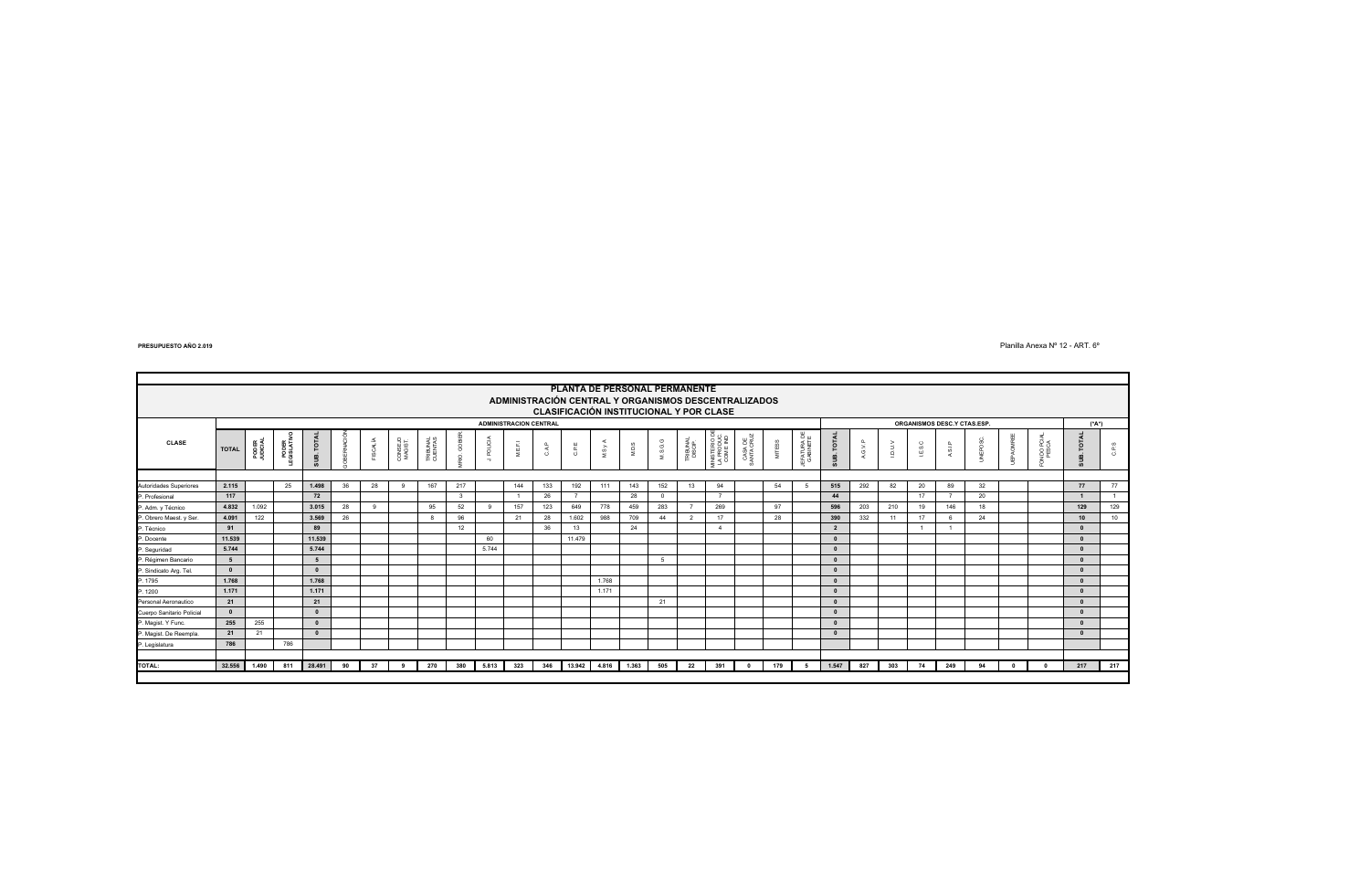#### Planilla Anexa Nº 12 - ART. 6º

|                           |              |                   |                   |                        |    |                 |                    |                     |                    |                          |                               |              |                  |       | PLANTA DE PERSONAL PERMANENTE                                                                   |          |                    |                                          |                       |               |                        |                |         |       |         |                             |      |              |                |              |       |
|---------------------------|--------------|-------------------|-------------------|------------------------|----|-----------------|--------------------|---------------------|--------------------|--------------------------|-------------------------------|--------------|------------------|-------|-------------------------------------------------------------------------------------------------|----------|--------------------|------------------------------------------|-----------------------|---------------|------------------------|----------------|---------|-------|---------|-----------------------------|------|--------------|----------------|--------------|-------|
|                           |              |                   |                   |                        |    |                 |                    |                     |                    |                          |                               |              |                  |       | ADMINISTRACIÓN CENTRAL Y ORGANISMOS DESCENTRALIZADOS<br>CLASIFICACIÓN INSTITUCIONAL Y POR CLASE |          |                    |                                          |                       |               |                        |                |         |       |         |                             |      |              |                |              |       |
|                           |              |                   |                   |                        |    |                 |                    |                     |                    |                          | <b>ADMINISTRACION CENTRAL</b> |              |                  |       |                                                                                                 |          |                    |                                          |                       |               |                        |                |         |       |         | ORGANISMOS DESC.Y CTAS.ESP. |      |              |                | (*A*)        |       |
| <b>CLASE</b>              | <b>TOTAL</b> | PODER<br>JUDICIAL | PODER<br>GISLATIV | $\overline{p}$<br>5UB. | 줖  | <b>FISCALÍA</b> | CONSEJO<br>MAGIST. | TRIBUNAL<br>CUENTAS | g<br>$\mathcal{Q}$ | POLICIA<br>$\rightarrow$ | $\overline{a}$<br>뜺<br>z      | $_{\rm CAP}$ | $\mathsf{C.P.E}$ | MSyA  | M.D.S                                                                                           | M.S.G.G  | TRIBUNAL<br>DISCIP | MINISTERIO DE<br>LA PRODUC.<br>COM E IND | CASA DE<br>SANTA CRUZ | <b>MITESS</b> | EFATURA DE<br>GABINETE | īοι<br>SUB.    | A.G.V.P | ving) | I.E.S.C | A.S.I.P                     | EPO: |              | <b>JDO PCI</b> | <b>TOTAL</b> | C.P.S |
|                           |              |                   |                   |                        |    |                 |                    |                     |                    |                          |                               |              |                  |       |                                                                                                 |          |                    |                                          |                       |               |                        |                |         |       |         |                             |      |              |                |              |       |
| Autoridades Superiores    | 2.115        |                   | 25                | 1.498                  | 36 | 28              | 9                  | 167                 | 217                |                          | 144                           | 133          | 192              | 111   | 143                                                                                             | 152      | 13                 | 94                                       |                       | 54            |                        | 515            | 292     | 82    | 20      | 89                          | 32   |              |                | 77           | 77    |
| P. Profesional            | 117          |                   |                   | 72                     |    |                 |                    |                     | $\mathcal{R}$      |                          |                               | 26           | $\overline{z}$   |       | 28                                                                                              | $\Omega$ |                    | $\overline{ }$                           |                       |               |                        | 44             |         |       | 17      |                             | 20   |              |                |              | $-1$  |
| P. Adm. y Técnico         | 4.832        | 1.092             |                   | 3.015                  | 28 | $\Omega$        |                    | 95                  | 52                 |                          | 157                           | 123          | 649              | 778   | 459                                                                                             | 283      |                    | 269                                      |                       | 97            |                        | 596            | 203     | 210   | 19      | 146                         | 18   |              |                | 129          | 129   |
| P. Obrero Maest. y Ser.   | 4.091        | 122               |                   | 3.569                  | 26 |                 |                    | 8                   | 96                 |                          | 21                            | 28           | 1.602            | 988   | 709                                                                                             | 44       | $\overline{2}$     | 17                                       |                       | 28            |                        | 390            | 332     | 11    | 17      |                             | 24   |              |                | 10           | 10    |
| P. Técnico                | 91           |                   |                   | 89                     |    |                 |                    |                     | 12                 |                          |                               | 36           | 13               |       | 24                                                                                              |          |                    | $\Delta$                                 |                       |               |                        | $\overline{2}$ |         |       |         |                             |      |              |                | $\sqrt{2}$   |       |
| P. Docente                | 11.539       |                   |                   | 11.539                 |    |                 |                    |                     |                    | 60                       |                               |              | 11,479           |       |                                                                                                 |          |                    |                                          |                       |               |                        | $\Omega$       |         |       |         |                             |      |              |                | $\Omega$     |       |
| P. Seguridad              | 5.744        |                   |                   | 5.744                  |    |                 |                    |                     |                    | 5.744                    |                               |              |                  |       |                                                                                                 |          |                    |                                          |                       |               |                        | $\Omega$       |         |       |         |                             |      |              |                | $\Omega$     |       |
| P. Régimen Bancario       | 5            |                   |                   | 5                      |    |                 |                    |                     |                    |                          |                               |              |                  |       |                                                                                                 | 5        |                    |                                          |                       |               |                        | $\Omega$       |         |       |         |                             |      |              |                | $\Omega$     |       |
| P. Sindicato Arg. Tel.    | $\mathbf{0}$ |                   |                   | $\Omega$               |    |                 |                    |                     |                    |                          |                               |              |                  |       |                                                                                                 |          |                    |                                          |                       |               |                        | $\Omega$       |         |       |         |                             |      |              |                | $\Omega$     |       |
| P. 1795                   | 1.768        |                   |                   | 1.768                  |    |                 |                    |                     |                    |                          |                               |              |                  | 1.768 |                                                                                                 |          |                    |                                          |                       |               |                        | $\Omega$       |         |       |         |                             |      |              |                | $\Omega$     |       |
| P. 1200                   | 1.171        |                   |                   | 1.171                  |    |                 |                    |                     |                    |                          |                               |              |                  | 1.171 |                                                                                                 |          |                    |                                          |                       |               |                        | $\Omega$       |         |       |         |                             |      |              |                | $\Omega$     |       |
| Personal Aeronautico      | 21           |                   |                   | 21                     |    |                 |                    |                     |                    |                          |                               |              |                  |       |                                                                                                 | 21       |                    |                                          |                       |               |                        | $\mathbf{r}$   |         |       |         |                             |      |              |                | $\sqrt{2}$   |       |
| Cuerpo Sanitario Policial | $\Omega$     |                   |                   | $\Omega$               |    |                 |                    |                     |                    |                          |                               |              |                  |       |                                                                                                 |          |                    |                                          |                       |               |                        |                |         |       |         |                             |      |              |                |              |       |
| P. Magist. Y Func.        | 255          | 255               |                   | $\Omega$               |    |                 |                    |                     |                    |                          |                               |              |                  |       |                                                                                                 |          |                    |                                          |                       |               |                        | $\Omega$       |         |       |         |                             |      |              |                | $\Omega$     |       |
| P. Magist. De Reempla.    | 21           | 21                |                   | $\Omega$               |    |                 |                    |                     |                    |                          |                               |              |                  |       |                                                                                                 |          |                    |                                          |                       |               |                        |                |         |       |         |                             |      |              |                | $\Omega$     |       |
| P. Legislatura            | 786          |                   | 786               |                        |    |                 |                    |                     |                    |                          |                               |              |                  |       |                                                                                                 |          |                    |                                          |                       |               |                        |                |         |       |         |                             |      |              |                |              |       |
|                           |              |                   |                   |                        |    |                 |                    |                     |                    |                          |                               |              |                  |       |                                                                                                 |          |                    |                                          |                       |               |                        |                |         |       |         |                             |      |              |                |              |       |
| <b>TOTAL:</b>             | 32.556       | 1.490             | 811               | 28.491                 | 90 | 37              | 9                  | 270                 | 380                | 5.813                    | 323                           | 346          | 13.942           | 4.816 | 1.363                                                                                           | 505      | 22                 | 391                                      | $^{\circ}$            | 179           | 5                      | 1.547          | 827     | 303   | 74      | 249                         | 94   | $\mathbf{0}$ | $\Omega$       | 217          | 217   |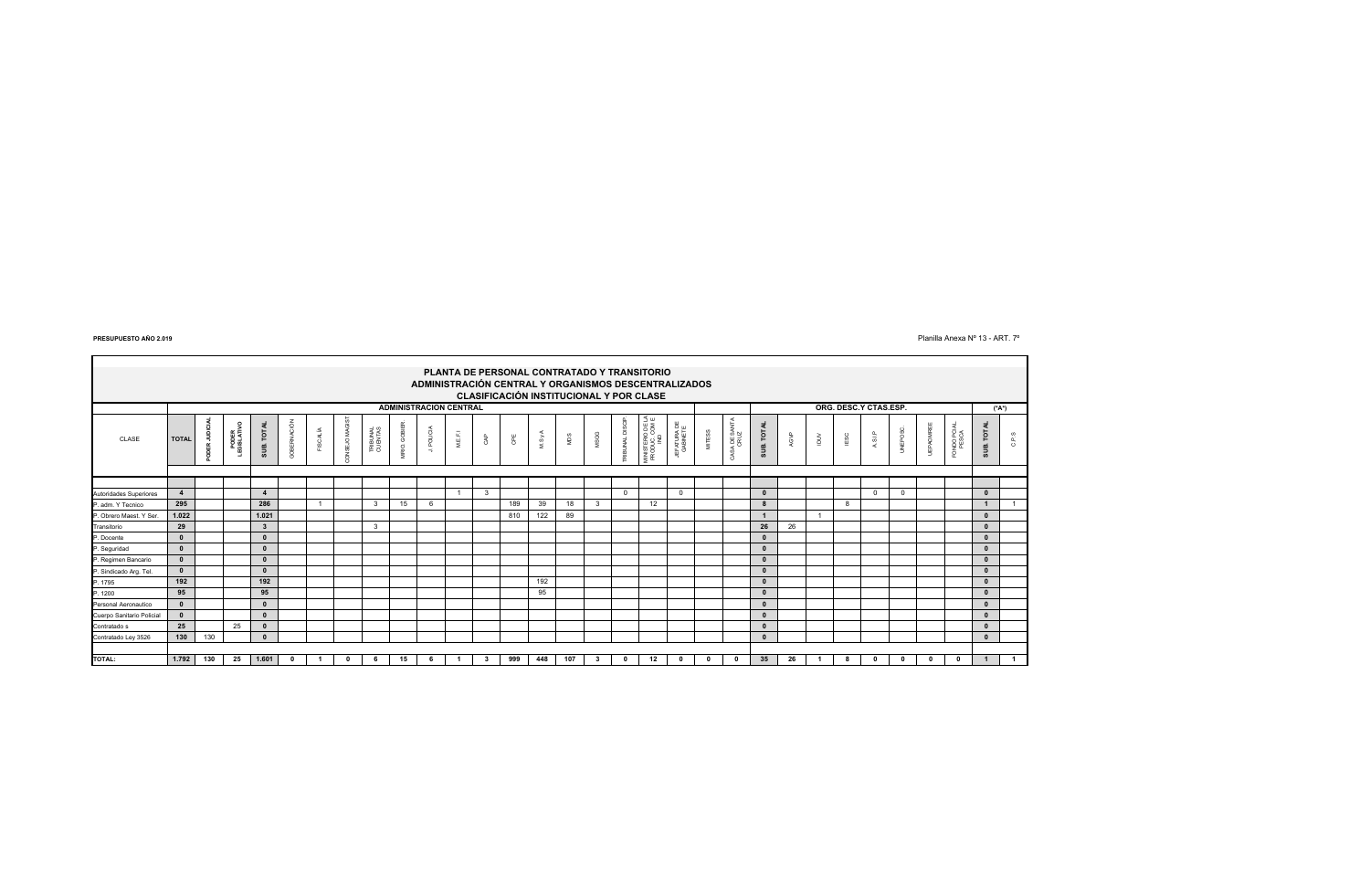$\blacksquare$ 

#### $P$ lanilla Anexa № 13 - ART. 7<sup>o</sup>

|                           | PLANTA DE PERSONAL CONTRATADO Y TRANSITORIO<br>ADMINISTRACIÓN CENTRAL Y ORGANISMOS DESCENTRALIZADOS<br>CLASIFICACIÓN INSTITUCIONAL Y POR CLASE |     |                         |              |              |                 |              |                     |             |            |          |     |     |      |      |      |              |                                         |                         |          |                       |              |      |         |              |              |            |          |                                          |              |                |
|---------------------------|------------------------------------------------------------------------------------------------------------------------------------------------|-----|-------------------------|--------------|--------------|-----------------|--------------|---------------------|-------------|------------|----------|-----|-----|------|------|------|--------------|-----------------------------------------|-------------------------|----------|-----------------------|--------------|------|---------|--------------|--------------|------------|----------|------------------------------------------|--------------|----------------|
|                           | ORG. DESC.Y CTAS.ESP.<br><b>ADMINISTRACION CENTRAL</b><br>$(*A*)$                                                                              |     |                         |              |              |                 |              |                     |             |            |          |     |     |      |      |      |              |                                         |                         |          |                       |              |      |         |              |              |            |          |                                          |              |                |
| CLASE                     | <b>TOTAL</b>                                                                                                                                   |     | PODER<br>GISLATIV<br>÷. | SUB. TOTAL   | GOBERNACIÓN  | <b>FISCALÍA</b> | ONSEJO MAGIS | TRIBUNAL<br>CUENTAS | MRIO. GOBIE | J. POLICIA | $M.E.F.$ | GAP | GPE | MSyA | NIDS | MSGG | RIBUNAL DISC | MINISTERIO DE LA<br>PRODUC. COM E<br>ND | JEFATURA DE<br>GABINETE | MITESS   | CASA DE SANTA<br>CRUZ | SUB. TOTAL   | AGVP | $\geqq$ | ESC          | ASIP         | UNEPOSC.   | UEPAOMRE | NDO PCIAL<br>PESCA<br>$\overline{\circ}$ | SUB. TOTAL   | C.P.S          |
|                           |                                                                                                                                                |     |                         |              |              |                 |              |                     |             |            |          |     |     |      |      |      |              |                                         |                         |          |                       |              |      |         |              |              |            |          |                                          |              |                |
|                           |                                                                                                                                                |     |                         |              |              |                 |              |                     |             |            |          |     |     |      |      |      |              |                                         |                         |          |                       |              |      |         |              |              |            |          |                                          |              |                |
| Autoridades Superiores    | $\overline{4}$                                                                                                                                 |     |                         |              |              |                 |              |                     |             |            |          | 3   |     |      |      |      | $\mathbf{0}$ |                                         | $\Omega$                |          |                       | $\Omega$     |      |         |              | $^{\circ}$   | $^{\circ}$ |          |                                          | $\mathbf{0}$ |                |
| P. adm. Y Tecnico         | 295                                                                                                                                            |     |                         | 286          |              |                 |              | $\mathbf{B}$        | 15          | 6          |          |     | 189 | 39   | 18   | 3    |              | 12                                      |                         |          |                       | 8            |      |         | $\mathbf{R}$ |              |            |          |                                          |              |                |
| P. Obrero Maest. Y Ser.   | 1.022                                                                                                                                          |     |                         | 1.021        |              |                 |              |                     |             |            |          |     | 810 | 122  | 89   |      |              |                                         |                         |          |                       |              |      |         |              |              |            |          |                                          | $\mathbf{0}$ |                |
| Transitorio               | 29                                                                                                                                             |     |                         | $\mathbf{3}$ |              |                 |              | 3                   |             |            |          |     |     |      |      |      |              |                                         |                         |          |                       | 26           | 26   |         |              |              |            |          |                                          | $\mathbf{0}$ |                |
| P. Docente                | $\mathbf{0}$                                                                                                                                   |     |                         | $\Omega$     |              |                 |              |                     |             |            |          |     |     |      |      |      |              |                                         |                         |          |                       | $\mathbf{0}$ |      |         |              |              |            |          |                                          | $\mathbf{0}$ |                |
| P. Seguridad              | $\mathbf{0}$                                                                                                                                   |     |                         | $\Omega$     |              |                 |              |                     |             |            |          |     |     |      |      |      |              |                                         |                         |          |                       | $\mathbf 0$  |      |         |              |              |            |          |                                          | $\mathbf{0}$ |                |
| P. Regimen Bancario       | $\mathbf{0}$                                                                                                                                   |     |                         | $\Omega$     |              |                 |              |                     |             |            |          |     |     |      |      |      |              |                                         |                         |          |                       | $\mathbf{0}$ |      |         |              |              |            |          |                                          | $\mathbf{0}$ |                |
| P. Sindicado Arg. Tel.    | $\mathbf{0}$                                                                                                                                   |     |                         | $\Omega$     |              |                 |              |                     |             |            |          |     |     |      |      |      |              |                                         |                         |          |                       | $\mathbf{0}$ |      |         |              |              |            |          |                                          | $\mathbf{0}$ |                |
| P. 1795                   | 192                                                                                                                                            |     |                         | 192          |              |                 |              |                     |             |            |          |     |     | 192  |      |      |              |                                         |                         |          |                       | $\mathbf{0}$ |      |         |              |              |            |          |                                          | $\mathbf{0}$ |                |
| P. 1200                   | 95                                                                                                                                             |     |                         | 95           |              |                 |              |                     |             |            |          |     |     | 95   |      |      |              |                                         |                         |          |                       | $\Omega$     |      |         |              |              |            |          |                                          | $\mathbf{0}$ |                |
| Personal Aeronautico      | $\mathbf{0}$                                                                                                                                   |     |                         | $\Omega$     |              |                 |              |                     |             |            |          |     |     |      |      |      |              |                                         |                         |          |                       | $\Omega$     |      |         |              |              |            |          |                                          | $\mathbf{0}$ |                |
| Cuerpo Sanitario Policial | $\mathbf{0}$                                                                                                                                   |     |                         | $\Omega$     |              |                 |              |                     |             |            |          |     |     |      |      |      |              |                                         |                         |          |                       | $\mathbf{0}$ |      |         |              |              |            |          |                                          | $\mathbf{0}$ |                |
| Contratado s              | 25                                                                                                                                             |     | 25                      | $\Omega$     |              |                 |              |                     |             |            |          |     |     |      |      |      |              |                                         |                         |          |                       | $\Omega$     |      |         |              |              |            |          |                                          | $\mathbf{0}$ |                |
| Contratado Ley 3526       | 130                                                                                                                                            | 130 |                         | $\mathbf{0}$ |              |                 |              |                     |             |            |          |     |     |      |      |      |              |                                         |                         |          |                       | $\mathbf 0$  |      |         |              |              |            |          |                                          | $\mathbf{0}$ |                |
|                           |                                                                                                                                                |     |                         |              |              |                 |              |                     |             |            |          |     |     |      |      |      |              |                                         |                         |          |                       |              |      |         |              |              |            |          |                                          |              |                |
| <b>TOTAL:</b>             | 1.792                                                                                                                                          | 130 | 25                      | 1.601        | $\mathbf{0}$ |                 |              | 6                   | 15          |            |          | - 3 | 999 | 448  | 107  | 3    |              | 12                                      | $\Omega$                | $\Omega$ | $\Omega$              | 35           | 26   |         |              | $\mathbf{0}$ | 0          | $\Omega$ | $\mathbf{0}$                             |              | $\overline{1}$ |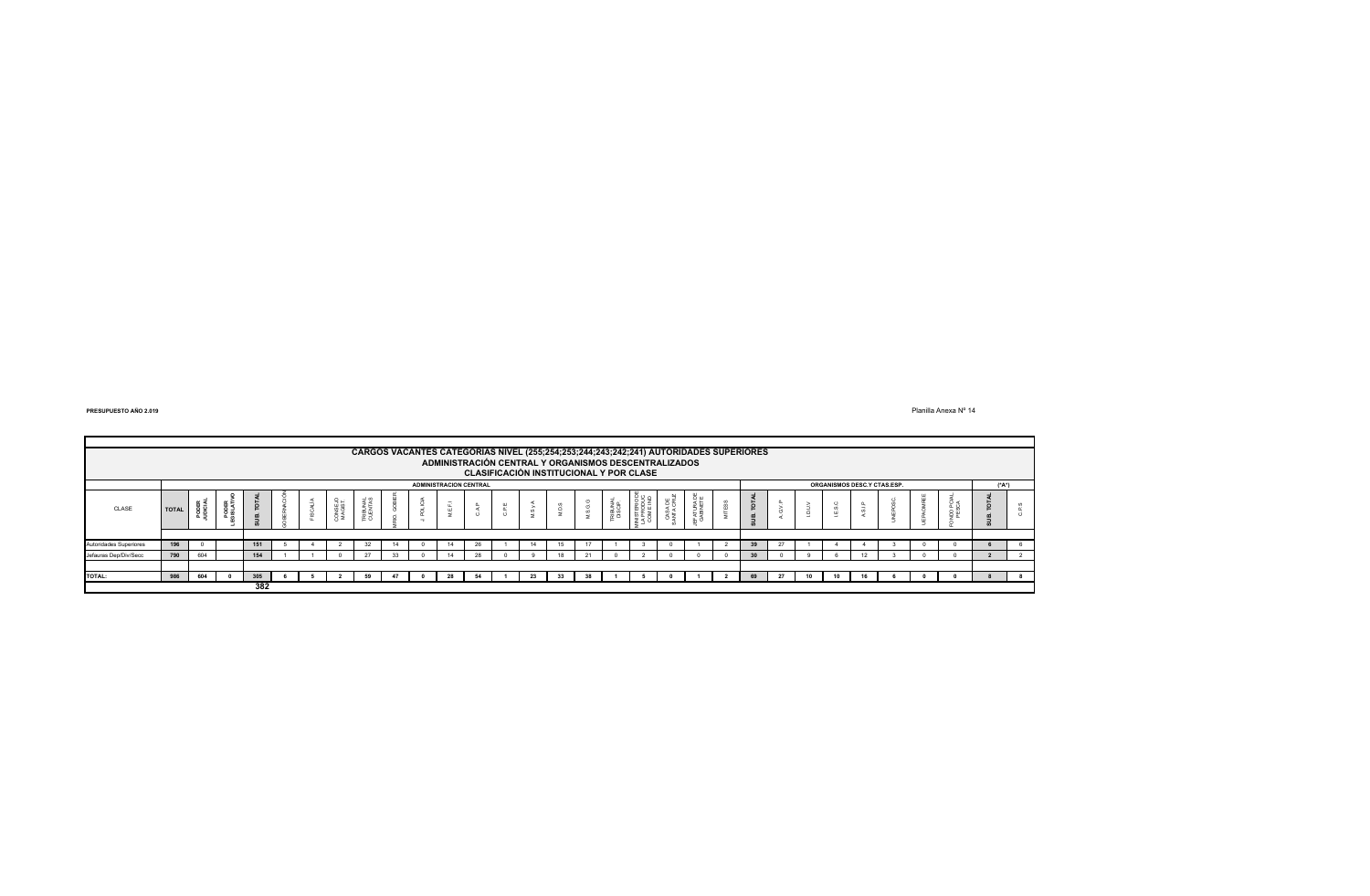Planilla Anexa Nº 14

|                        | CARGOS VACANTES CATEGORIAS NIVEL (255;254;253;244;243;242;241) AUTORIDADES SUPERIORES           |     |  |     |  |  |                    |    |    |  |    |       |        |    |    |         |                                   |                |         |    |         |  |  |  |  |
|------------------------|-------------------------------------------------------------------------------------------------|-----|--|-----|--|--|--------------------|----|----|--|----|-------|--------|----|----|---------|-----------------------------------|----------------|---------|----|---------|--|--|--|--|
|                        | ADMINISTRACIÓN CENTRAL Y ORGANISMOS DESCENTRALIZADOS<br>CLASIFICACIÓN INSTITUCIONAL Y POR CLASE |     |  |     |  |  |                    |    |    |  |    |       |        |    |    |         |                                   |                |         |    |         |  |  |  |  |
|                        | ORGANISMOS DESC.Y CTAS.ESP.<br><b>ADMINISTRACION CENTRAL</b>                                    |     |  |     |  |  |                    |    |    |  |    | (*A*) |        |    |    |         |                                   |                |         |    |         |  |  |  |  |
| CLASE                  | <b>TOTAL</b>                                                                                    | 88  |  |     |  |  | CONSEJO<br>MAGIST. |    |    |  |    |       | ш<br>ō |    |    | 专员<br>ᄒ | NISTERIO<br>A PRODUC<br>COM E NIC | õ.,<br>ATURA I | $\circ$ |    | $\circ$ |  |  |  |  |
|                        |                                                                                                 |     |  |     |  |  |                    |    |    |  |    |       |        |    |    |         |                                   |                |         |    |         |  |  |  |  |
| Autoridades Superiores | 196                                                                                             |     |  | 151 |  |  |                    | 32 | 14 |  | 14 | 26    |        | 14 |    |         |                                   |                | 39      |    |         |  |  |  |  |
| Jefauras Dep/Div/Secc  | 790                                                                                             | 604 |  | 154 |  |  |                    | 27 |    |  |    |       |        |    | n. |         |                                   |                | 30      |    |         |  |  |  |  |
|                        |                                                                                                 |     |  |     |  |  |                    |    |    |  |    |       |        |    |    |         |                                   |                |         |    |         |  |  |  |  |
| TOTAL:                 | 986                                                                                             | 604 |  | 305 |  |  |                    | 59 |    |  |    |       |        |    |    |         |                                   |                |         | 10 |         |  |  |  |  |
|                        |                                                                                                 |     |  | 382 |  |  |                    |    |    |  |    |       |        |    |    |         |                                   |                |         |    |         |  |  |  |  |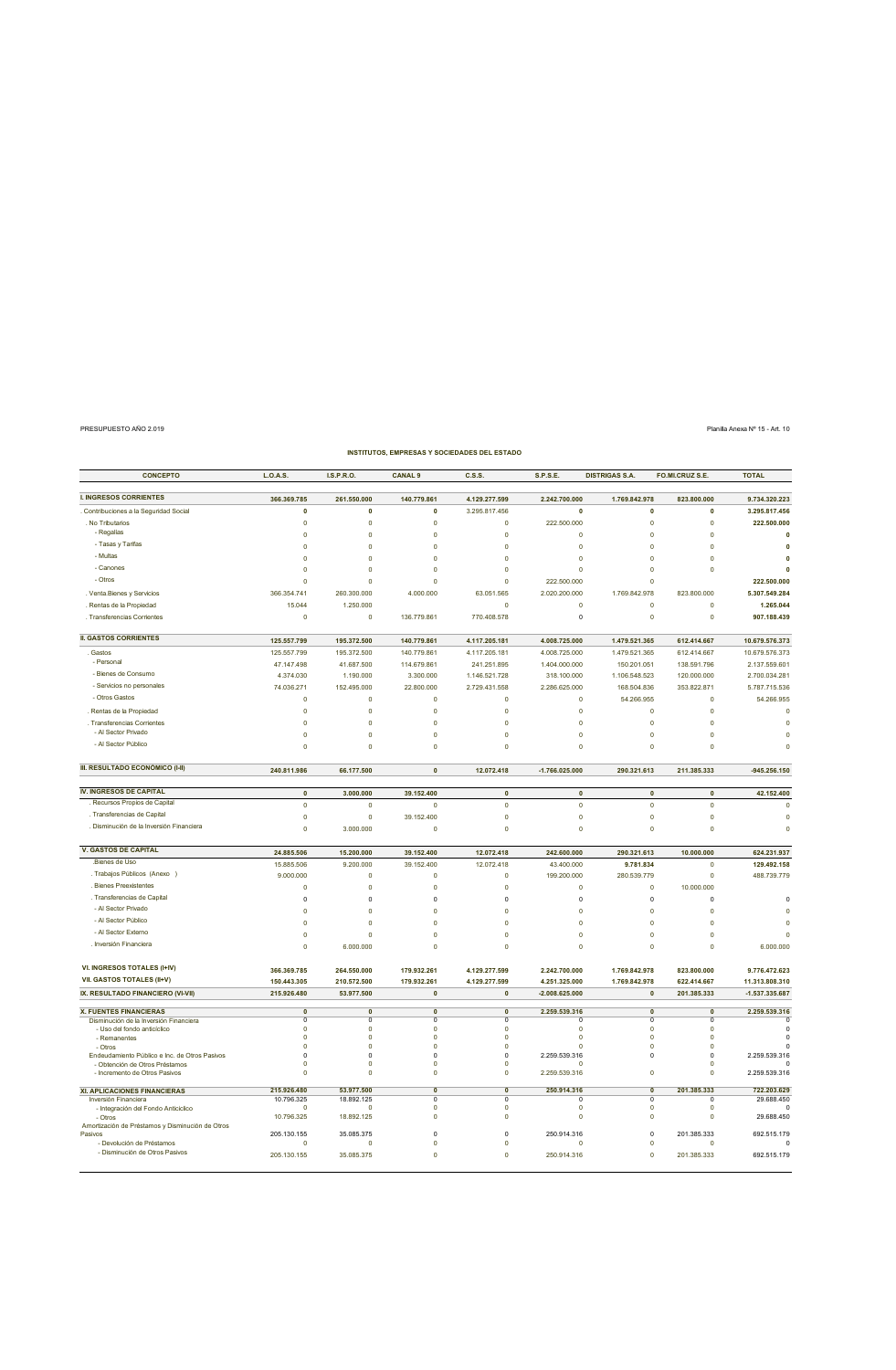| <b>CONCEPTO</b>                                                                 | L.O.A.S.                   | I.S.P.R.O.                 | <b>CANAL 9</b>                | C.S.S                                  | <b>S.P.S.E.</b>                | <b>DISTRIGAS S.A.</b>          | FO.MI.CRUZ S.E.            | <b>TOTAL</b>                    |
|---------------------------------------------------------------------------------|----------------------------|----------------------------|-------------------------------|----------------------------------------|--------------------------------|--------------------------------|----------------------------|---------------------------------|
| <b>I. INGRESOS CORRIENTES</b>                                                   | 366.369.785                | 261.550.000                | 140.779.861                   | 4.129.277.599                          | 2.242.700.000                  | 1.769.842.978                  | 823.800.000                | 9.734.320.223                   |
| Contribuciones a la Seguridad Social                                            | 0                          | 0                          | 0                             | 3.295.817.456                          | 0                              | 0                              | 0                          | 3.295.817.456                   |
| . No Tributarios                                                                | $\mathbf 0$                | $\circ$                    | 0                             | $\circ$                                | 222.500.000                    | $\mathbf 0$                    | $\pmb{0}$                  | 222.500.000                     |
| - Regalías                                                                      | $\mathbf 0$                | $\circ$                    | 0                             | $\pmb{0}$                              | $\mathbf 0$                    | $\mathbf 0$                    | $\pmb{0}$                  | 0                               |
| - Tasas y Tarifas                                                               | $\mathbf 0$                | $\pmb{0}$                  | 0                             | $\pmb{0}$                              | $\pmb{0}$                      | $\mathbf 0$                    | $\pmb{0}$                  | 0                               |
| - Multas                                                                        | $\mathbf 0$                | $\circ$                    | $\mathbf 0$                   | $\theta$                               | $\mathbf 0$                    | $\circ$                        | $\pmb{0}$                  | 0                               |
| - Canones                                                                       | $\mathbf 0$                | $\circ$                    | 0                             | $\mathbf 0$                            | $\mathbf 0$                    | $\mathbf 0$                    | $\pmb{0}$                  | $\mathbf{0}$                    |
| - Otros                                                                         | $\mathbf 0$                | $\theta$                   | $\mathbf 0$                   | $\mathbf 0$                            | 222.500.000                    | $\mathbf 0$                    |                            | 222.500.000                     |
| Venta.Bienes y Servicios                                                        | 366.354.741                | 260.300.000                | 4.000.000                     | 63.051.565                             | 2.020.200.000                  | 1.769.842.978                  | 823.800.000                | 5.307.549.284                   |
| Rentas de la Propiedad                                                          | 15.044                     | 1.250.000                  |                               | $\circ$                                | $\circ$                        | 0                              | $\pmb{0}$                  | 1.265.044                       |
| Transferencias Corrientes                                                       | $\mathbf 0$                | $\circ$                    | 136.779.861                   | 770.408.578                            | 0                              | 0                              | $\pmb{0}$                  | 907.188.439                     |
| <b>II. GASTOS CORRIENTES</b>                                                    | 125.557.799                | 195.372.500                | 140.779.861                   | 4.117.205.181                          | 4.008.725.000                  | 1.479.521.365                  | 612.414.667                | 10.679.576.373                  |
| Gastos                                                                          | 125.557.799                | 195.372.500                | 140.779.861                   | 4.117.205.181                          | 4.008.725.000                  | 1.479.521.365                  | 612.414.667                | 10.679.576.373                  |
| - Personal                                                                      | 47.147.498                 | 41.687.500                 | 114.679.861                   | 241.251.895                            | 1.404.000.000                  | 150.201.051                    | 138.591.796                | 2.137.559.601                   |
| - Bienes de Consumo                                                             | 4.374.030                  | 1.190.000                  | 3.300.000                     | 1.146.521.728                          | 318.100.000                    | 1.106.548.523                  | 120.000.000                | 2.700.034.281                   |
| - Servicios no personales                                                       | 74.036.271                 | 152.495.000                | 22.800.000                    | 2.729.431.558                          | 2.286.625.000                  | 168.504.836                    | 353.822.871                | 5.787.715.536                   |
| - Otros Gastos                                                                  | $\mathbf 0$                | $\pmb{0}$                  | $\mathbf 0$                   | $\pmb{0}$                              | $\mathbf 0$                    | 54.266.955                     | $\pmb{0}$                  | 54.266.955                      |
| Rentas de la Propiedad                                                          | $\mathbf 0$                | $\circ$                    | 0                             | $\mathbf 0$                            | 0                              | 0                              | $\pmb{0}$                  | $\mathbf 0$                     |
| . Transferencias Corrientes<br>- Al Sector Privado                              | $\mathbf 0$                | $\circ$                    | 0                             | $\circ$                                | $\mathbf 0$                    | $\mathbf 0$                    | $\pmb{0}$                  | $\mathbf 0$                     |
| - Al Sector Público                                                             | $\mathbf 0$<br>$\mathbf 0$ | $\pmb{0}$<br>$\theta$      | 0<br>0                        | $\pmb{0}$<br>0                         | 0<br>0                         | $\mathbf 0$<br>$\mathbf 0$     | $\pmb{0}$<br>$\mathbf 0$   | $\Omega$<br>0                   |
|                                                                                 |                            |                            |                               |                                        |                                |                                |                            |                                 |
| III. RESULTADO ECONÓMICO (I-II)                                                 | 240.811.986                | 66.177.500                 | 0                             | 12.072.418                             | $-1.766.025.000$               | 290.321.613                    | 211.385.333                | $-945.256.150$                  |
| <b>IV. INGRESOS DE CAPITAL</b>                                                  | $\mathbf{0}$               | 3.000.000                  | 39.152.400                    | $\pmb{\mathsf{o}}$                     | $\mathbf{0}$                   | $\pmb{\mathsf{o}}$             | $\pmb{0}$                  | 42.152.400                      |
| Recursos Propios de Capital                                                     | $\pmb{0}$                  | $\pmb{0}$                  | 0                             | $\ddot{\mathbf{0}}$                    | $\mathbf 0$                    | $\mathbf 0$                    | $\pmb{0}$                  | 0                               |
| . Transferencias de Capital                                                     | $\mathbf 0$                | $\circ$                    | 39.152.400                    | $\pmb{0}$                              | $\mathbf 0$                    | $\mathbf 0$                    | $\pmb{0}$                  | $\mathbf 0$                     |
| . Disminución de la Inversión Financiera                                        | $\mathbf 0$                | 3.000.000                  | $\mathbf 0$                   | $\pmb{0}$                              | 0                              | $\mathbf 0$                    | $\pmb{0}$                  | $\mathbf 0$                     |
| <b>V. GASTOS DE CAPITAL</b>                                                     | 24.885.506                 | 15.200.000                 | 39.152.400                    | 12.072.418                             | 242.600.000                    | 290.321.613                    | 10.000.000                 | 624.231.937                     |
| Bienes de Uso.                                                                  | 15.885.506                 | 9.200.000                  | 39.152.400                    | 12.072.418                             | 43.400.000                     | 9.781.834                      | $\pmb{0}$                  | 129.492.158                     |
| . Trabajos Públicos (Anexo )                                                    | 9.000.000                  | $\pmb{0}$                  | 0                             | $\pmb{0}$                              | 199.200.000                    | 280.539.779                    | $\pmb{0}$                  | 488.739.779                     |
| <b>Bienes Preexistentes</b>                                                     | $\mathbf 0$                | $\pmb{0}$                  | 0                             | $\theta$                               | $\mathbf 0$                    | $\mathbf 0$                    | 10.000.000                 |                                 |
| . Transferencias de Capital                                                     | $\mathbf 0$                | $^{\circ}$                 | 0                             | $\mathbf 0$                            | 0                              | 0                              | 0                          | 0                               |
| - Al Sector Privado<br>- Al Sector Público                                      | $\mathbf 0$                | $\circ$                    | 0                             | $\mathbf 0$                            | $\mathbf 0$                    | $\mathbf 0$                    | $\mathbf 0$                | $\mathbf 0$                     |
| - Al Sector Externo                                                             | $\mathbf 0$                | $\circ$                    | $\Omega$                      | $\mathbf 0$                            | 0                              | $\Omega$                       | $\pmb{0}$                  | $\Omega$                        |
| . Inversión Financiera                                                          | $\circ$<br>$\mathbf 0$     | $\circ$<br>6.000.000       | 0<br>0                        | $\mathbf 0$<br>$\mathbf 0$             | $\mathbf 0$<br>0               | $\mathbf 0$<br>$\mathbf 0$     | $\pmb{0}$<br>$\mathbf 0$   | $\mathbf 0$<br>6.000.000        |
|                                                                                 |                            |                            |                               |                                        |                                |                                |                            |                                 |
| VI. INGRESOS TOTALES (I+IV)<br>VII. GASTOS TOTALES (II+V)                       | 366.369.785<br>150.443.305 | 264.550.000<br>210.572.500 | 179.932.261<br>179.932.261    | 4.129.277.599<br>4.129.277.599         | 2.242.700.000<br>4.251.325.000 | 1.769.842.978<br>1.769.842.978 | 823.800.000<br>622.414.667 | 9.776.472.623<br>11.313.808.310 |
| IX. RESULTADO FINANCIERO (VI-VII)                                               | 215.926.480                | 53.977.500                 | $\mathbf{0}$                  | $\pmb{0}$                              | $-2.008.625.000$               | $\mathbf 0$                    | 201.385.333                | -1.537.335.687                  |
| <b>X. FUENTES FINANCIERAS</b>                                                   | $\mathbf{0}$               | $\mathbf{0}$               | $\overline{0}$                | $\overline{0}$                         | 2.259.539.316                  | $\mathbf{0}$                   | $\overline{0}$             | 2.259.539.316                   |
| Disminución de la Inversión Financiera                                          | $\overline{0}$             | $^{\circ}$                 | $\overline{0}$                | $\overline{0}$                         | O                              | $\overline{0}$                 | $\overline{0}$             | 0                               |
| - Uso del fondo anticíclico<br>- Remanentes                                     | $\Omega$<br>$\Omega$       | $\circ$<br>$\Omega$        | $\Omega$<br>$\Omega$          | $\mathbf 0$<br>$\Omega$                | $\circ$<br>$\circ$             | $\Omega$<br>$\Omega$           | $\pmb{0}$<br>$\Omega$      | $\mathbf 0$<br>$\mathbf 0$      |
| - Otros                                                                         | $\Omega$                   | $\Omega$                   | $\Omega$                      | $\Omega$                               | O                              | $\Omega$                       | $\Omega$                   | $\Omega$                        |
| Endeudamiento Público e Inc. de Otros Pasivos<br>- Obtención de Otros Préstamos | $\Omega$<br>$\Omega$       | $\Omega$<br>$\Omega$       | $\Omega$<br>$\Omega$          | $\Omega$<br>$\Omega$                   | 2.259.539.316<br>$\Omega$      | $\Omega$                       | $\Omega$<br>$\Omega$       | 2.259.539.316<br>$\Omega$       |
| - Incremento de Otros Pasivos                                                   | $\Omega$                   | $\Omega$                   | $\Omega$                      | $\Omega$                               | 2.259.539.316                  | $\Omega$                       | $\Omega$                   | 2.259.539.316                   |
| XI. APLICACIONES FINANCIERAS                                                    | 215.926.480                | 53.977.500                 | $\mathbf{0}$                  | $\overline{0}$                         | 250.914.316                    | $\overline{\mathbf{0}}$        | 201.385.333                | 722.203.629                     |
| Inversión Financiera<br>- Integración del Fondo Anticiclico                     | 10.796.325<br>$\circ$      | 18.892.125<br>$\circ$      | $\overline{0}$<br>$\mathbf 0$ | $\overline{\mathbf{0}}$<br>$\mathbf 0$ | $\Omega$<br>$\circ$            | $\overline{0}$<br>$\mathbf 0$  | $\circ$<br>$\pmb{0}$       | 29.688.450<br>$\Omega$          |
| - Otros                                                                         | 10.796.325                 | 18.892.125                 | $\mathbf 0$                   | $\pmb{0}$                              | $\mathbf 0$                    | $\mathbf 0$                    | $\pmb{0}$                  | 29.688.450                      |
| Amortización de Préstamos y Disminución de Otros<br>Pasivos                     | 205.130.155                | 35.085.375                 | $\mathbf 0$                   | $\mathbf 0$                            | 250.914.316                    | $\mathbf 0$                    | 201.385.333                | 692.515.179                     |
| - Devolución de Préstamos                                                       | $\mathbf 0$                | $\circ$                    | 0                             | $\circ$                                | 0                              | $\mathbf 0$                    | $\circ$                    | $\mathbf 0$                     |
| - Disminución de Otros Pasivos                                                  | 205.130.155                | 35.085.375                 | 0                             | $\mathbf 0$                            | 250.914.316                    | 0                              | 201.385.333                | 692.515.179                     |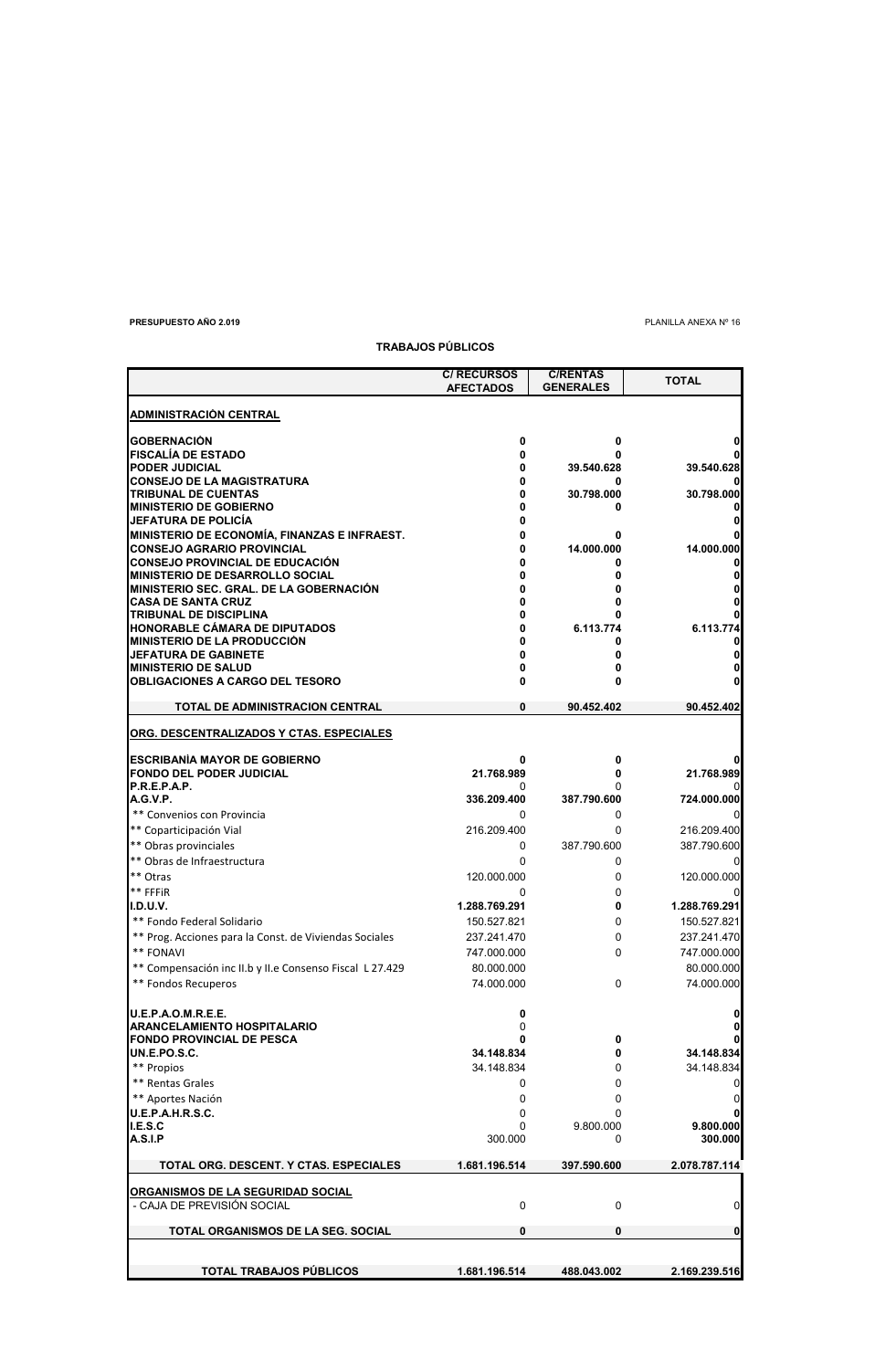**PRESUPUESTO AÑO 2.019** PLANILLA ANEXA № 16

# **C/ RECURSOS C/RENTAS AFECTADOS GENERALES ADMINISTRACIÓN CENTRAL GOBERNACIÓN 0 0 0 FISCALÍA DE ESTADO 0 0 0 PODER JUDICIAL 0 39.540.628 39.540.628 CONSEJO DE LA MAGISTRATURA 0 0 0 TRIBUNAL DE CUENTAS 0 30.798.000 30.798.000 MINISTERIO DE GOBIERNO 0 0 0 JEFATURA DE POLICÍA 0 0 MINISTERIO DE ECONOMÍA, FINANZAS E INFRAEST. 0 0 0 CONSEJO AGRARIO PROVINCIAL 0 14.000.000 14.000.000 CONSEJO PROVINCIAL DE EDUCACIÓN 0 0 0 MINISTERIO DE DESARROLLO SOCIAL 0 0 0 MINISTERIO SEC. GRAL. DE LA GOBERNACIÓN 0 0 0 CASA DE SANTA CRUZ 0 0 0 TRIBUNAL DE DISCIPLINA 0 0 0 HONORABLE CÁMARA DE DIPUTADOS 0 6.113.774 6.113.774 MINISTERIO DE LA PRODUCCIÓN 0 0 0 JEFATURA DE GABINETE 0 0 0 MINISTERIO DE SALUD 0 0 0 OBLIGACIONES A CARGO DEL TESORO 0 0 0 TOTAL DE ADMINISTRACION CENTRAL 0 90.452.402 90.452.402 ORG. DESCENTRALIZADOS Y CTAS. ESPECIALES ESCRIBANÍA MAYOR DE GOBIERNO 0 0 0 FONDO DEL PODER JUDICIAL 21.768.989 0 21.768.989 P.R.E.P.A.P.** 0 0 0 **A.G.V.P. 336.209.400 387.790.600 724.000.000** \*\* Convenios con Provincia 0 0 0 \*\* Coparticipación Vial 216.209.400 0 216.209.400 \*\* Obras provinciales 0 387.790.600 387.790.600 \*\* Obras de Infraestructura de contra estableceu en la contra estableceu en la contra estableceu en la contra estableceu en la contra estableceu en la contra estableceu en la contra estableceu en la contra estableceu en la \*\* Otras 120.000.000 0 120.000.000 0 120.000.000 0 120.000.000 120.000 0 120.000 0 120.000 0 120.000 0 120.000 0 120 0 120 0 120 0 120 0 120 0 120 0 120 0 120 0 120 0 120 0 120 0 120 0 120 0 120 0 120 0 120 0 120 0 120 0 1 \*\* FFFiR 0 0 0 **I.D.U.V. 1.288.769.291 0 1.288.769.291** \*\* Fondo Federal Solidario 150.527.821 0 150.527.821 \*\* Prog. Acciones para la Const. de Viviendas Sociales 237.241.470  $\frac{237.241.470}{747.000.000}$  237.241.470 \*\* FONAVI 747.000.000 0 747.000.000 \*\* Compensación inc II.b y II.e Consenso Fiscal L 27.429 80.000.000 80.000.000 80.000.000 \*\* Fondos Recuperos 74.000.000 0 74.000.000 **U.E.P.A.O.M.R.E.E. 0 0 ARANCELAMIENTO HOSPITALARIO** 0 **0 FONDO PROVINCIAL DE PESCA 0 0 0 UN.E.PO.S.C. 34.148.834 0 34.148.834** \*\* Propios 34.148.834 0 34.148.834 \*\* Rentas Grales and the contract of the contract of the contract of the contract of the contract of the contract of the contract of the contract of the contract of the contract of the contract of the contract of the contr \*\* Aportes Nación 0 0 0 **U.E.P.A.H.R.S.C. I.E.S.C** 0 9.800.000 **9.800.000 A.S.I.P** 300.000 0 **300.000 TOTAL ORG. DESCENT. Y CTAS. ESPECIALES 1.681.196.514 397.590.600 2.078.787.114 ORGANISMOS DE LA SEGURIDAD SOCIAL** - CAJA DE PREVISIÓN SOCIAL 0 0 0 **TOTAL ORGANISMOS DE LA SEG. SOCIAL 0 0 0 TOTAL TRABAJOS PÚBLICOS 1.681.196.514 488.043.002 2.169.239.516 TOTAL**

**TRABAJOS PÚBLICOS**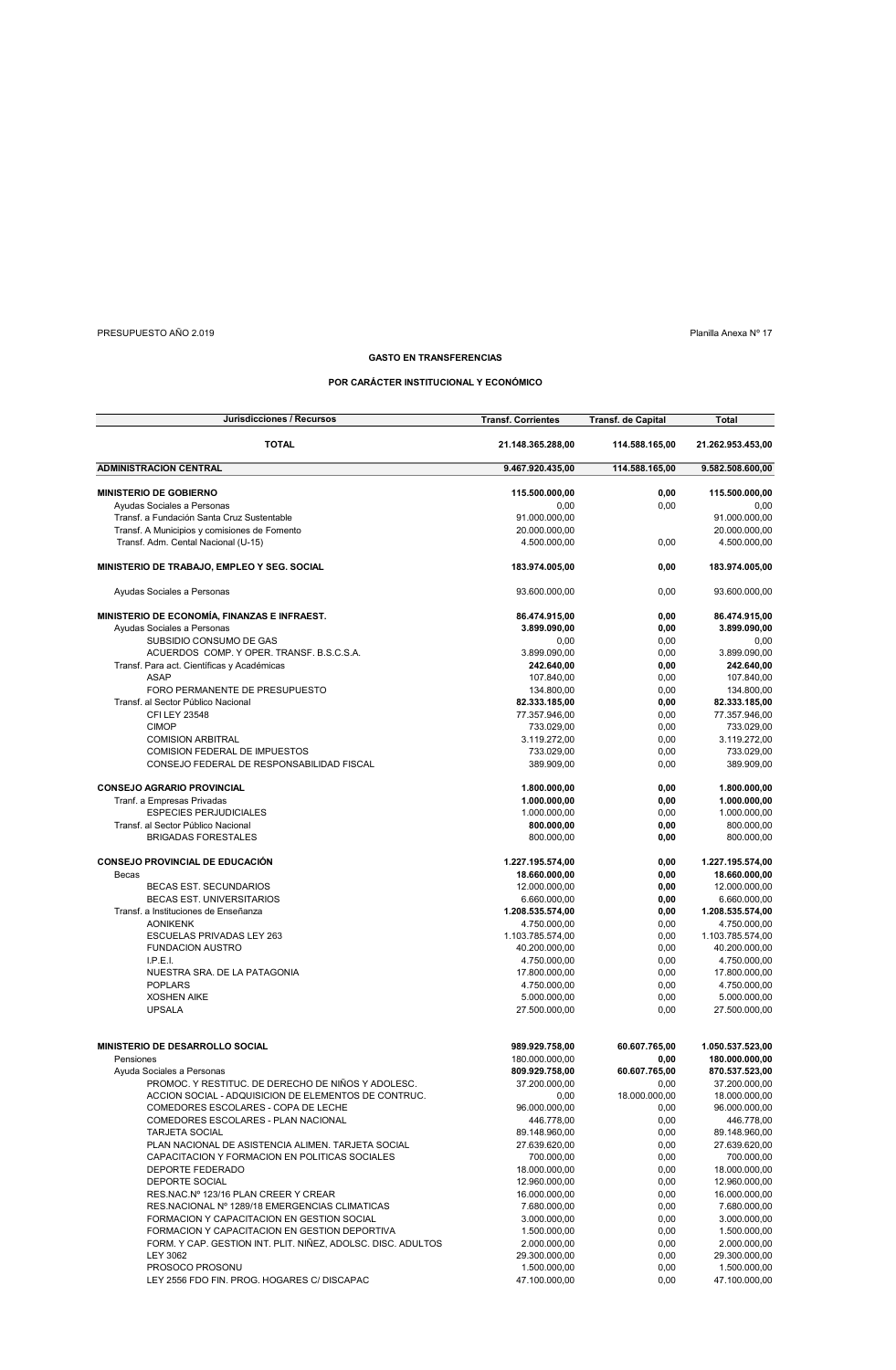# PRESUPUESTO AÑO 2.019 Planilla Anexa Nº 17

 $\overline{\phantom{0}}$ 

# **GASTO EN TRANSFERENCIAS**

# **POR CARÁCTER INSTITUCIONAL Y ECONÓMICO**

| Jurisdicciones / Recursos                                    | <b>Transf. Corrientes</b> | <b>Transf. de Capital</b> | Total             |
|--------------------------------------------------------------|---------------------------|---------------------------|-------------------|
| <b>TOTAL</b>                                                 | 21.148.365.288.00         | 114.588.165,00            | 21.262.953.453,00 |
| <b>ADMINISTRACION CENTRAL</b>                                | 9.467.920.435,00          | 114.588.165,00            | 9.582.508.600,00  |
| <b>MINISTERIO DE GOBIERNO</b>                                | 115.500.000,00            | 0,00                      | 115.500.000,00    |
| Ayudas Sociales a Personas                                   | 0,00                      | 0,00                      | 0,00              |
| Transf. a Fundación Santa Cruz Sustentable                   | 91.000.000,00             |                           | 91.000.000,00     |
| Transf. A Municipios y comisiones de Fomento                 | 20.000.000,00             |                           | 20.000.000,00     |
| Transf. Adm. Cental Nacional (U-15)                          | 4.500.000,00              | 0,00                      | 4.500.000,00      |
| MINISTERIO DE TRABAJO, EMPLEO Y SEG. SOCIAL                  | 183.974.005,00            | 0,00                      | 183.974.005,00    |
| Ayudas Sociales a Personas                                   | 93.600.000.00             | 0,00                      | 93.600.000,00     |
|                                                              |                           |                           |                   |
| MINISTERIO DE ECONOMÍA, FINANZAS E INFRAEST.                 | 86.474.915,00             | 0,00                      | 86.474.915,00     |
| Ayudas Sociales a Personas                                   | 3.899.090,00              | 0,00                      | 3.899.090,00      |
| SUBSIDIO CONSUMO DE GAS                                      | 0,00                      | 0,00                      | 0,00              |
| ACUERDOS COMP. Y OPER. TRANSF. B.S.C.S.A.                    | 3.899.090,00              | 0,00                      | 3.899.090,00      |
| Transf. Para act. Científicas y Académicas                   | 242.640,00                | 0,00                      | 242.640,00        |
| <b>ASAP</b>                                                  | 107.840,00                | 0,00                      | 107.840,00        |
| FORO PERMANENTE DE PRESUPUESTO                               | 134.800,00                | 0,00                      | 134.800,00        |
| Transf. al Sector Público Nacional                           | 82.333.185,00             | 0,00                      | 82.333.185,00     |
| CFI LEY 23548                                                | 77.357.946,00             | 0,00                      | 77.357.946,00     |
| <b>CIMOP</b>                                                 | 733.029,00                | 0,00                      | 733.029,00        |
|                                                              |                           |                           |                   |
| <b>COMISION ARBITRAL</b>                                     | 3.119.272,00              | 0,00                      | 3.119.272,00      |
| <b>COMISION FEDERAL DE IMPUESTOS</b>                         | 733.029,00                | 0,00                      | 733.029,00        |
| CONSEJO FEDERAL DE RESPONSABILIDAD FISCAL                    | 389.909,00                | 0,00                      | 389.909,00        |
| <b>CONSEJO AGRARIO PROVINCIAL</b>                            | 1.800.000,00              | 0,00                      | 1.800.000.00      |
| Tranf. a Empresas Privadas                                   | 1.000.000,00              | 0,00                      | 1.000.000,00      |
|                                                              |                           |                           |                   |
| <b>ESPECIES PERJUDICIALES</b>                                | 1.000.000,00              | 0,00                      | 1.000.000,00      |
| Transf. al Sector Público Nacional                           | 800.000.00                | 0,00                      | 800.000.00        |
| <b>BRIGADAS FORESTALES</b>                                   | 800.000.00                | 0,00                      | 800.000,00        |
| <b>CONSEJO PROVINCIAL DE EDUCACIÓN</b>                       | 1.227.195.574,00          | 0,00                      | 1.227.195.574,00  |
| Becas                                                        | 18.660.000,00             | 0,00                      | 18.660.000,00     |
| <b>BECAS EST. SECUNDARIOS</b>                                | 12.000.000,00             | 0,00                      | 12.000.000,00     |
| BECAS EST. UNIVERSITARIOS                                    | 6.660.000,00              | 0,00                      | 6.660.000,00      |
| Transf. a Instituciones de Enseñanza                         | 1.208.535.574,00          | 0,00                      | 1.208.535.574,00  |
| <b>AONIKENK</b>                                              |                           |                           |                   |
|                                                              | 4.750.000,00              | 0,00                      | 4.750.000,00      |
| ESCUELAS PRIVADAS LEY 263                                    | 1.103.785.574,00          | 0,00                      | 1.103.785.574,00  |
| <b>FUNDACION AUSTRO</b>                                      | 40.200.000,00             | 0,00                      | 40.200.000,00     |
| I.P.E.I.                                                     | 4.750.000,00              | 0,00                      | 4.750.000,00      |
| NUESTRA SRA. DE LA PATAGONIA                                 | 17.800.000,00             | 0,00                      | 17.800.000,00     |
| <b>POPLARS</b>                                               | 4.750.000,00              | 0,00                      | 4.750.000,00      |
| <b>XOSHEN AIKE</b>                                           | 5.000.000,00              | 0,00                      | 5.000.000,00      |
| <b>UPSALA</b>                                                | 27.500.000,00             | 0,00                      | 27.500.000,00     |
|                                                              |                           |                           |                   |
| MINISTERIO DE DESARROLLO SOCIAL                              | 989.929.758,00            | 60.607.765,00             | 1.050.537.523,00  |
| Pensiones                                                    | 180.000.000,00            | 0,00                      | 180.000.000,00    |
| Ayuda Sociales a Personas                                    | 809.929.758,00            | 60.607.765,00             | 870.537.523,00    |
| PROMOC. Y RESTITUC. DE DERECHO DE NIÑOS Y ADOLESC.           | 37.200.000,00             | 0,00                      | 37.200.000,00     |
| ACCION SOCIAL - ADQUISICION DE ELEMENTOS DE CONTRUC.         | 0,00                      | 18.000.000,00             | 18.000.000,00     |
| COMEDORES ESCOLARES - COPA DE LECHE                          | 96.000.000,00             | 0,00                      | 96.000.000,00     |
| COMEDORES ESCOLARES - PLAN NACIONAL                          | 446.778,00                | 0,00                      | 446.778,00        |
|                                                              |                           |                           |                   |
| <b>TARJETA SOCIAL</b>                                        | 89.148.960,00             | 0,00                      | 89.148.960,00     |
| PLAN NACIONAL DE ASISTENCIA ALIMEN. TARJETA SOCIAL           | 27.639.620,00             | 0,00                      | 27.639.620,00     |
| CAPACITACION Y FORMACION EN POLITICAS SOCIALES               | 700.000,00                | 0,00                      | 700.000,00        |
| DEPORTE FEDERADO                                             | 18.000.000,00             | 0,00                      | 18.000.000,00     |
| DEPORTE SOCIAL                                               | 12.960.000,00             | 0,00                      | 12.960.000,00     |
| RES.NAC.Nº 123/16 PLAN CREER Y CREAR                         | 16.000.000,00             | 0,00                      | 16.000.000,00     |
| RES.NACIONAL Nº 1289/18 EMERGENCIAS CLIMATICAS               | 7.680.000,00              | 0,00                      | 7.680.000,00      |
| FORMACION Y CAPACITACION EN GESTION SOCIAL                   | 3.000.000,00              | 0,00                      | 3.000.000,00      |
|                                                              |                           | 0,00                      |                   |
| FORMACION Y CAPACITACION EN GESTION DEPORTIVA                | 1.500.000,00              |                           | 1.500.000,00      |
| FORM. Y CAP. GESTION INT. PLIT. NIÑEZ, ADOLSC. DISC. ADULTOS | 2.000.000,00              | 0,00                      | 2.000.000,00      |
| <b>LEY 3062</b>                                              | 29.300.000,00             | 0,00                      | 29.300.000,00     |
| PROSOCO PROSONU                                              | 1.500.000,00              | 0,00                      | 1.500.000,00      |
| LEY 2556 FDO FIN. PROG. HOGARES C/ DISCAPAC                  | 47.100.000,00             | 0,00                      | 47.100.000,00     |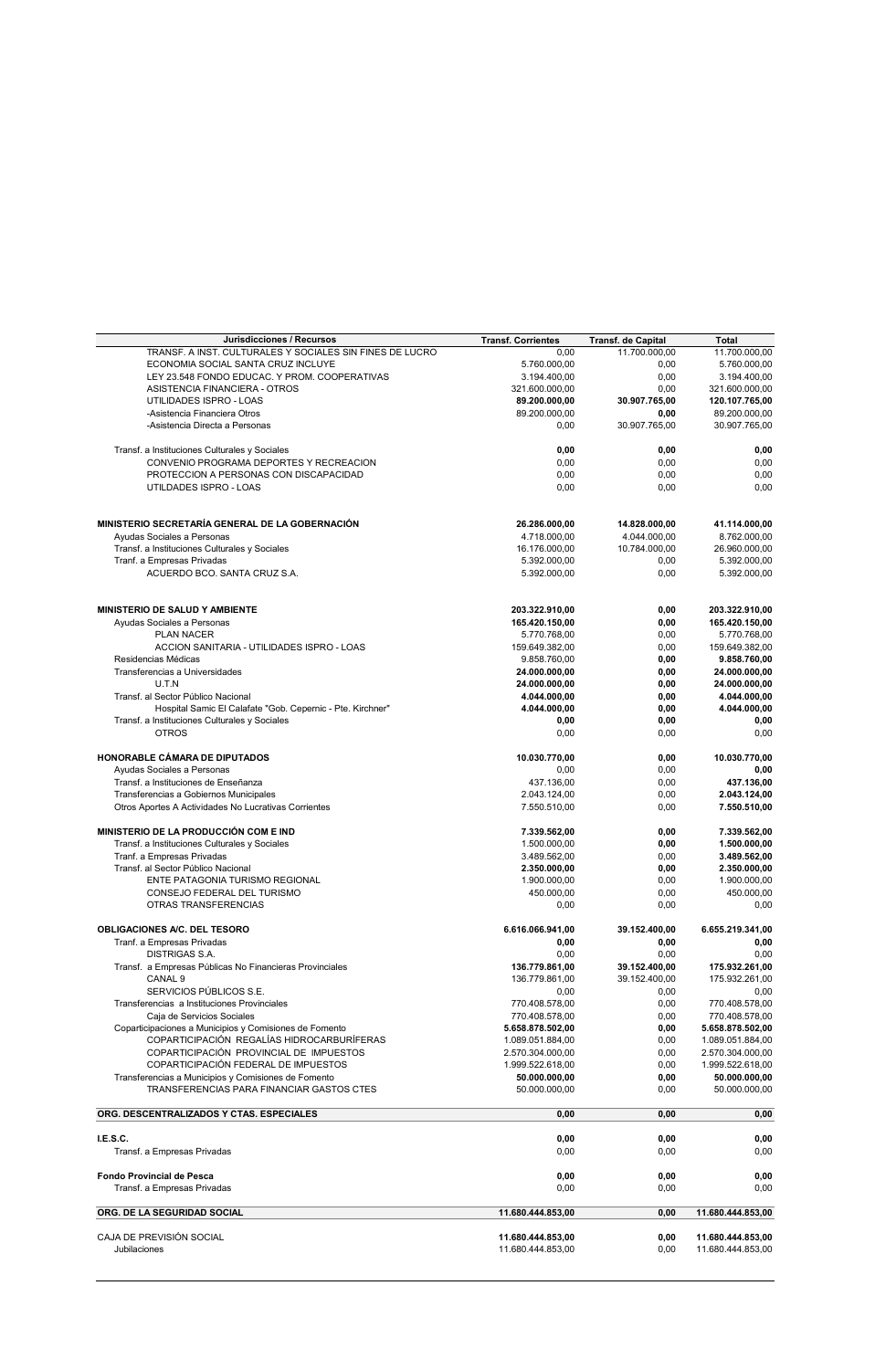| Jurisdicciones / Recursos                                  | <b>Transf. Corrientes</b> | Transf. de Capital | <b>Total</b>      |
|------------------------------------------------------------|---------------------------|--------------------|-------------------|
| TRANSF. A INST. CULTURALES Y SOCIALES SIN FINES DE LUCRO   | 0,00                      | 11.700.000,00      | 11.700.000,00     |
| ECONOMIA SOCIAL SANTA CRUZ INCLUYE                         | 5.760.000,00              | 0,00               | 5.760.000,00      |
| LEY 23.548 FONDO EDUCAC. Y PROM. COOPERATIVAS              | 3.194.400,00              | 0,00               | 3.194.400,00      |
| ASISTENCIA FINANCIERA - OTROS                              | 321.600.000,00            | 0,00               | 321.600.000,00    |
| UTILIDADES ISPRO - LOAS                                    | 89.200.000,00             | 30.907.765,00      | 120.107.765,00    |
| -Asistencia Financiera Otros                               | 89.200.000,00             | 0,00               | 89.200.000,00     |
| -Asistencia Directa a Personas                             | 0,00                      | 30.907.765,00      | 30.907.765,00     |
|                                                            |                           |                    |                   |
| Transf. a Instituciones Culturales y Sociales              | 0,00                      | 0,00               | 0,00              |
| CONVENIO PROGRAMA DEPORTES Y RECREACION                    | 0,00                      | 0,00               | 0,00              |
| PROTECCION A PERSONAS CON DISCAPACIDAD                     | 0,00                      | 0,00               | 0,00              |
| UTILDADES ISPRO - LOAS                                     | 0,00                      | 0,00               | 0,00              |
|                                                            |                           |                    |                   |
|                                                            |                           |                    |                   |
| MINISTERIO SECRETARÍA GENERAL DE LA GOBERNACIÓN            | 26.286.000,00             | 14.828.000,00      | 41.114.000,00     |
| Ayudas Sociales a Personas                                 | 4.718.000,00              | 4.044.000,00       | 8.762.000,00      |
| Transf. a Instituciones Culturales y Sociales              | 16.176.000,00             | 10.784.000,00      | 26.960.000,00     |
| Tranf. a Empresas Privadas                                 | 5.392.000,00              | 0,00               | 5.392.000,00      |
| ACUERDO BCO. SANTA CRUZ S.A.                               | 5.392.000,00              | 0,00               | 5.392.000,00      |
|                                                            |                           |                    |                   |
|                                                            |                           |                    |                   |
| MINISTERIO DE SALUD Y AMBIENTE                             | 203.322.910,00            | 0,00               | 203.322.910,00    |
| Ayudas Sociales a Personas                                 | 165.420.150,00            | 0,00               | 165.420.150,00    |
| PLAN NACER                                                 | 5.770.768,00              | 0,00               | 5.770.768,00      |
| ACCION SANITARIA - UTILIDADES ISPRO - LOAS                 | 159.649.382,00            | 0,00               | 159.649.382,00    |
| Residencias Médicas                                        | 9.858.760,00              | 0,00               | 9.858.760,00      |
| Transferencias a Universidades                             | 24.000.000,00             | 0,00               | 24.000.000,00     |
| U.T.N                                                      | 24.000.000,00             | 0,00               | 24.000.000,00     |
| Transf. al Sector Público Nacional                         | 4.044.000,00              | 0,00               | 4.044.000,00      |
| Hospital Samic El Calafate "Gob. Cepernic - Pte. Kirchner" | 4.044.000,00              | 0,00               | 4.044.000,00      |
| Transf. a Instituciones Culturales y Sociales              | 0,00                      | 0,00               | 0,00              |
| <b>OTROS</b>                                               | 0,00                      | 0,00               | 0,00              |
|                                                            |                           |                    |                   |
| HONORABLE CÁMARA DE DIPUTADOS                              | 10.030.770,00             | 0,00               | 10.030.770,00     |
| Ayudas Sociales a Personas                                 | 0,00                      | 0,00               | 0,00              |
| Transf. a Instituciones de Enseñanza                       | 437.136,00                | 0,00               | 437.136,00        |
| Transferencias a Gobiernos Municipales                     | 2.043.124,00              | 0,00               | 2.043.124,00      |
| Otros Aportes A Actividades No Lucrativas Corrientes       | 7.550.510,00              | 0,00               | 7.550.510,00      |
|                                                            |                           |                    |                   |
| MINISTERIO DE LA PRODUCCIÓN COM E IND                      | 7.339.562,00              | 0,00               | 7.339.562,00      |
| Transf. a Instituciones Culturales y Sociales              | 1.500.000,00              | 0,00               | 1.500.000,00      |
| Tranf. a Empresas Privadas                                 | 3.489.562,00              | 0,00               | 3.489.562,00      |
| Transf. al Sector Público Nacional                         | 2.350.000,00              | 0,00               | 2.350.000,00      |
| ENTE PATAGONIA TURISMO REGIONAL                            | 1.900.000,00              | 0,00               | 1.900.000,00      |
| CONSEJO FEDERAL DEL TURISMO                                | 450.000,00                | 0,00               | 450.000,00        |
| OTRAS TRANSFERENCIAS                                       | 0,00                      | 0,00               | 0,00              |
|                                                            |                           |                    |                   |
| OBLIGACIONES A/C. DEL TESORO                               | 6.616.066.941,00          | 39.152.400,00      | 6.655.219.341,00  |
| Tranf. a Empresas Privadas                                 | 0,00                      | 0,00               | 0,00              |
| <b>DISTRIGAS S.A.</b>                                      | 0,00                      | 0,00               | 0.00              |
| Transf. a Empresas Públicas No Financieras Provinciales    | 136.779.861,00            | 39.152.400,00      | 175.932.261,00    |
| CANAL <sub>9</sub>                                         | 136.779.861,00            | 39.152.400,00      | 175.932.261,00    |
| SERVICIOS PÚBLICOS S.E.                                    | 0,00                      | 0,00               | 0,00              |
| Transferencias a Instituciones Provinciales                | 770.408.578,00            | 0,00               | 770.408.578,00    |
| Caja de Servicios Sociales                                 | 770.408.578,00            | 0,00               | 770.408.578,00    |
| Coparticipaciones a Municipios y Comisiones de Fomento     | 5.658.878.502,00          | 0,00               | 5.658.878.502,00  |
| COPARTICIPACIÓN REGALÍAS HIDROCARBURÍFERAS                 | 1.089.051.884,00          | 0,00               | 1.089.051.884,00  |
| COPARTICIPACIÓN PROVINCIAL DE IMPUESTOS                    | 2.570.304.000,00          | 0,00               | 2.570.304.000,00  |
| COPARTICIPACIÓN FEDERAL DE IMPUESTOS                       |                           |                    |                   |
|                                                            | 1.999.522.618,00          | 0,00               | 1.999.522.618,00  |
| Transferencias a Municipios y Comisiones de Fomento        | 50.000.000,00             | 0,00               | 50.000.000,00     |
| TRANSFERENCIAS PARA FINANCIAR GASTOS CTES                  | 50.000.000,00             | 0,00               | 50.000.000,00     |
| ORG. DESCENTRALIZADOS Y CTAS. ESPECIALES                   | 0,00                      | 0,00               | 0,00              |
|                                                            |                           |                    |                   |
| I.E.S.C.                                                   | 0,00                      | 0,00               | 0,00              |
| Transf. a Empresas Privadas                                | 0,00                      | 0,00               | 0,00              |
|                                                            |                           |                    |                   |
| <b>Fondo Provincial de Pesca</b>                           | 0,00                      | 0,00               | 0,00              |
| Transf. a Empresas Privadas                                | 0,00                      | 0,00               | 0,00              |
|                                                            |                           |                    |                   |
| ORG. DE LA SEGURIDAD SOCIAL                                | 11.680.444.853,00         | 0,00               | 11.680.444.853,00 |
| CAJA DE PREVISIÓN SOCIAL                                   | 11.680.444.853,00         | 0,00               | 11.680.444.853,00 |
| Jubilaciones                                               | 11.680.444.853,00         | 0,00               | 11.680.444.853,00 |
|                                                            |                           |                    |                   |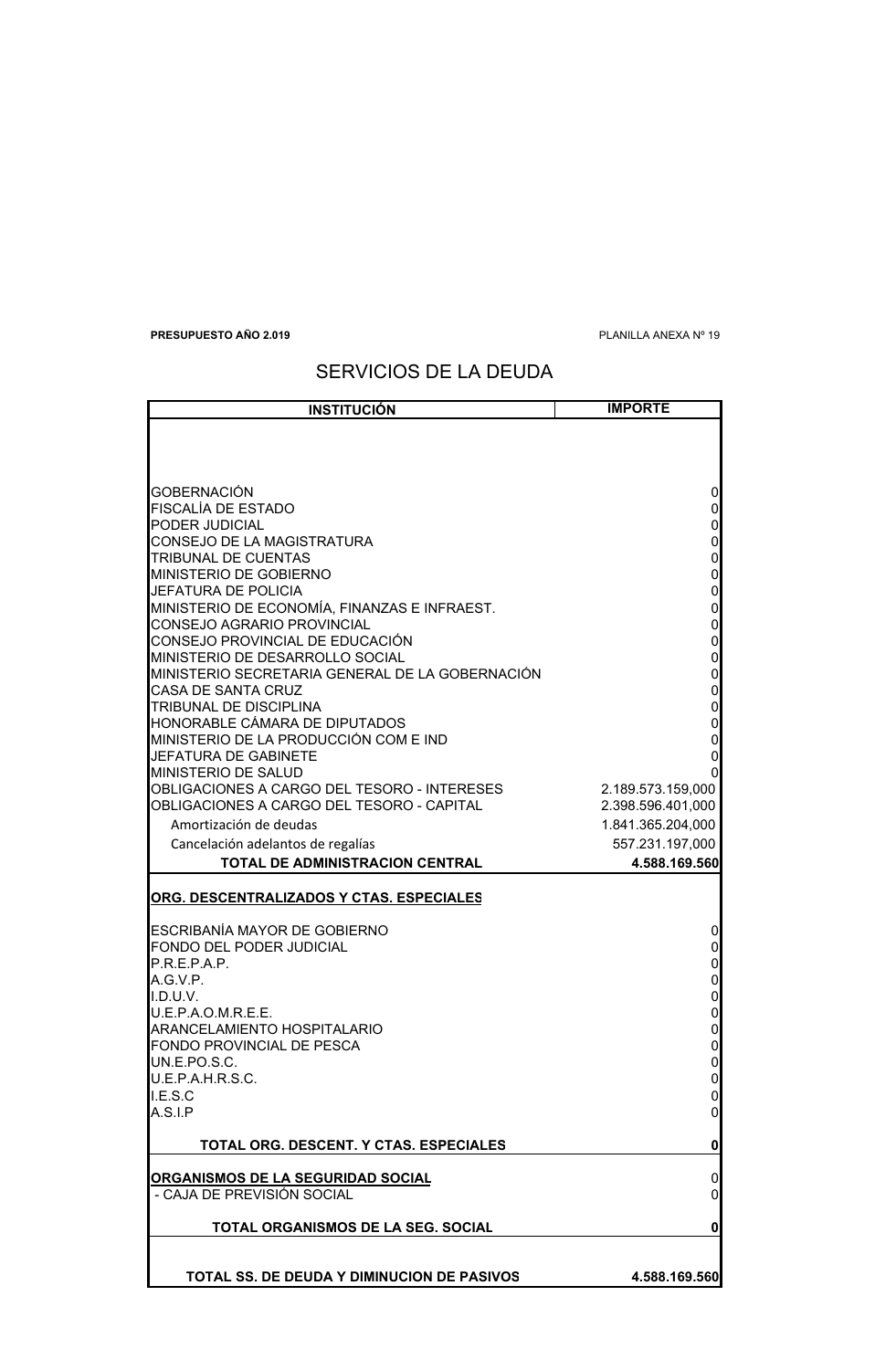**PRESUPUESTO AÑO 2.019** PLANILLA ANEXA Nº 19

# SERVICIOS DE LA DEUDA

| <b>INSTITUCIÓN</b>                                                     | <b>IMPORTE</b>                   |
|------------------------------------------------------------------------|----------------------------------|
|                                                                        |                                  |
|                                                                        |                                  |
|                                                                        |                                  |
| GOBERNACIÓN                                                            | 0                                |
| FISCALÍA DE ESTADO                                                     | 0                                |
| PODER JUDICIAL                                                         |                                  |
| CONSEJO DE LA MAGISTRATURA                                             | 0                                |
| TRIBUNAL DE CUENTAS                                                    | $\mathbf 0$                      |
| MINISTERIO DE GOBIERNO                                                 | $\mathbf 0$                      |
| JEFATURA DE POLICIA                                                    | $\mathbf 0$                      |
| MINISTERIO DE ECONOMÍA, FINANZAS E INFRAEST.                           | $\mathbf 0$                      |
| CONSEJO AGRARIO PROVINCIAL                                             | $\mathbf{0}$                     |
| CONSEJO PROVINCIAL DE EDUCACIÓN<br>MINISTERIO DE DESARROLLO SOCIAL     | $\mathbf 0$                      |
| MINISTERIO SECRETARIA GENERAL DE LA GOBERNACIÓN                        | $\begin{matrix}0\\0\end{matrix}$ |
| CASA DE SANTA CRUZ                                                     | $\mathbf 0$                      |
| TRIBUNAL DE DISCIPLINA                                                 | $\mathbf 0$                      |
| HONORABLE CÁMARA DE DIPUTADOS                                          | $\mathbf 0$                      |
| MINISTERIO DE LA PRODUCCIÓN COM E IND                                  | $\mathbf 0$                      |
| <b>JEFATURA DE GABINETE</b>                                            | $\mathbf 0$                      |
| MINISTERIO DE SALUD                                                    | 0                                |
| OBLIGACIONES A CARGO DEL TESORO - INTERESES                            | 2.189.573.159,000                |
| OBLIGACIONES A CARGO DEL TESORO - CAPITAL                              | 2.398.596.401,000                |
| Amortización de deudas                                                 | 1.841.365.204,000                |
| Cancelación adelantos de regalías                                      | 557.231.197,000                  |
| TOTAL DE ADMINISTRACION CENTRAL                                        | 4.588.169.560                    |
|                                                                        |                                  |
| ORG. DESCENTRALIZADOS Y CTAS. ESPECIALES                               |                                  |
|                                                                        |                                  |
| ESCRIBANÍA MAYOR DE GOBIERNO                                           | 0                                |
| FONDO DEL PODER JUDICIAL                                               | $\mathbf 0$                      |
| P.R.E.P.A.P.<br>A.G.V.P.                                               | $\mathbf 0$<br>$\mathbf 0$       |
| II.D.U.V.                                                              | $\mathbf 0$                      |
| U.E.P.A.O.M.R.E.E.                                                     | $\mathbf 0$                      |
| ARANCELAMIENTO HOSPITALARIO                                            | $\mathbf 0$                      |
| FONDO PROVINCIAL DE PESCA                                              | $\mathbf 0$                      |
| UN.E.PO.S.C.                                                           | $\overline{0}$                   |
| U.E.P.A.H.R.S.C.                                                       | $\mathbf 0$                      |
| I.E.S.C                                                                | 0                                |
| A.S.I.P                                                                | $\mathbf 0$                      |
|                                                                        |                                  |
| TOTAL ORG. DESCENT. Y CTAS. ESPECIALES                                 | $\mathbf 0$                      |
|                                                                        |                                  |
| <u>ORGANISMOS DE LA SEGURIDAD SOCIAL</u><br>- CAJA DE PREVISIÓN SOCIAL | 0<br>0                           |
|                                                                        |                                  |
| <b>TOTAL ORGANISMOS DE LA SEG. SOCIAL</b>                              | 0                                |
|                                                                        |                                  |
|                                                                        |                                  |
| <b>TOTAL SS. DE DEUDA Y DIMINUCION DE PASIVOS</b>                      | 4.588.169.560                    |